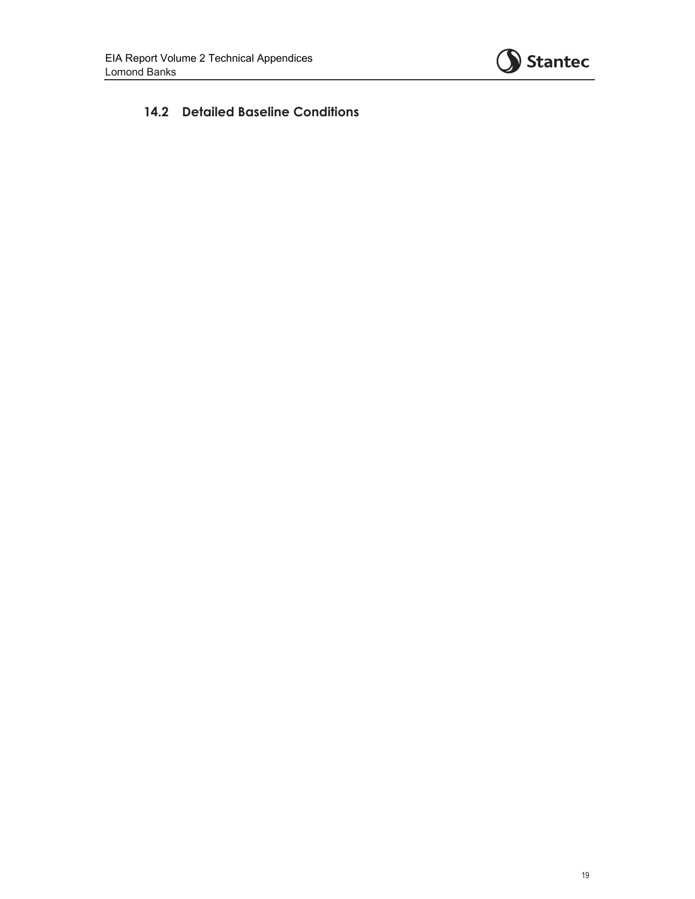

## **14.2 Detailed Baseline Conditions**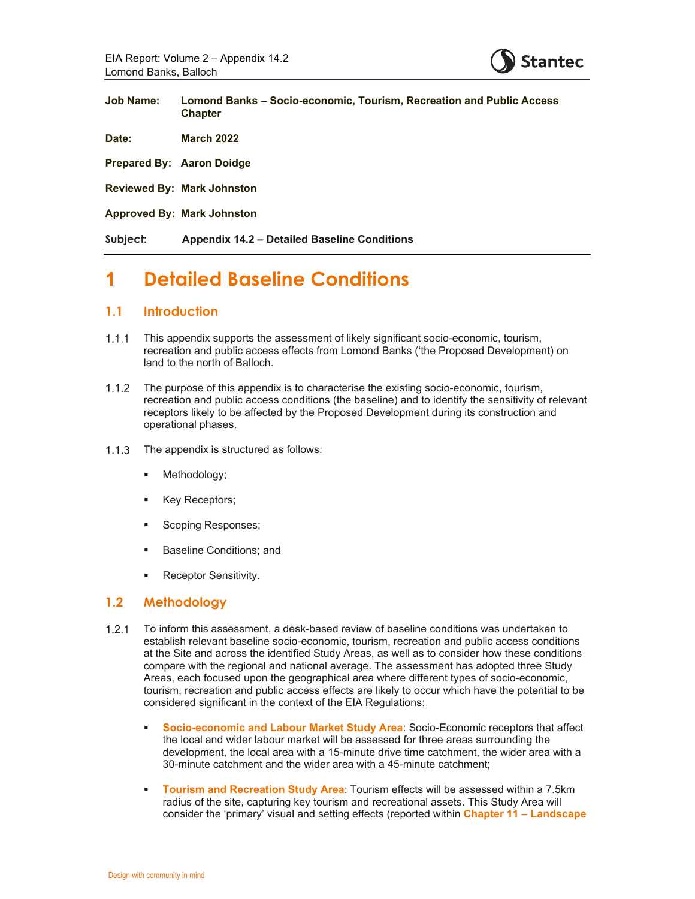

| <b>Job Name:</b>                 | Lomond Banks – Socio-economic, Tourism, Recreation and Public Access<br><b>Chapter</b> |
|----------------------------------|----------------------------------------------------------------------------------------|
| Date:                            | <b>March 2022</b>                                                                      |
| <b>Prepared By: Aaron Doidge</b> |                                                                                        |
|                                  | <b>Reviewed By: Mark Johnston</b>                                                      |
|                                  | <b>Approved By: Mark Johnston</b>                                                      |
| Subject:                         | <b>Appendix 14.2 – Detailed Baseline Conditions</b>                                    |

# **1 Detailed Baseline Conditions**

### **1.1 Introduction**

- This appendix supports the assessment of likely significant socio-economic, tourism, recreation and public access effects from Lomond Banks ('the Proposed Development) on land to the north of Balloch.
- 1.1.2 The purpose of this appendix is to characterise the existing socio-economic, tourism, recreation and public access conditions (the baseline) and to identify the sensitivity of relevant receptors likely to be affected by the Proposed Development during its construction and operational phases.
- 1.1.3 The appendix is structured as follows:
	- **•** Methodology;
	- Key Receptors;
	- Scoping Responses;
	- **Baseline Conditions; and**
	- Receptor Sensitivity.

### **1.2 Methodology**

- 1.2.1 To inform this assessment, a desk-based review of baseline conditions was undertaken to establish relevant baseline socio-economic, tourism, recreation and public access conditions at the Site and across the identified Study Areas, as well as to consider how these conditions compare with the regional and national average. The assessment has adopted three Study Areas, each focused upon the geographical area where different types of socio-economic, tourism, recreation and public access effects are likely to occur which have the potential to be considered significant in the context of the EIA Regulations:
	- **Socio-economic and Labour Market Study Area:** Socio-Economic receptors that affect the local and wider labour market will be assessed for three areas surrounding the development, the local area with a 15-minute drive time catchment, the wider area with a 30-minute catchment and the wider area with a 45-minute catchment;
	- **Tourism and Recreation Study Area**: Tourism effects will be assessed within a 7.5km radius of the site, capturing key tourism and recreational assets. This Study Area will consider the 'primary' visual and setting effects (reported within **Chapter 11 – Landscape**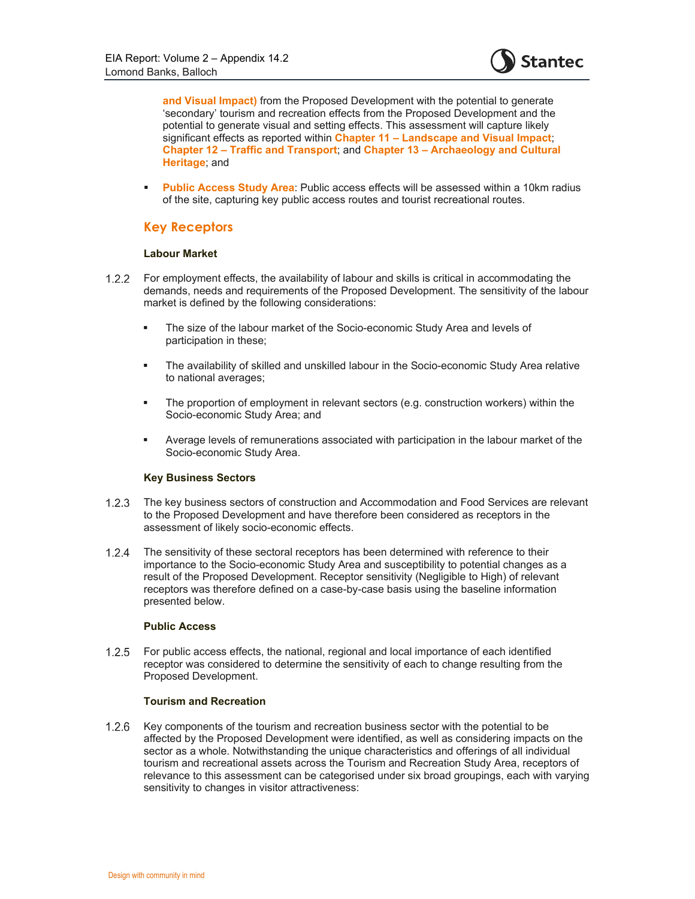

**and Visual Impact)** from the Proposed Development with the potential to generate 'secondary' tourism and recreation effects from the Proposed Development and the potential to generate visual and setting effects. This assessment will capture likely significant effects as reported within **Chapter 11 – Landscape and Visual Impact**; **Chapter 12 – Traffic and Transport**; and **Chapter 13 – Archaeology and Cultural Heritage**; and

**Public Access Study Area:** Public access effects will be assessed within a 10km radius of the site, capturing key public access routes and tourist recreational routes.

### **Key Receptors**

### **Labour Market**

- 1.2.2 For employment effects, the availability of labour and skills is critical in accommodating the demands, needs and requirements of the Proposed Development. The sensitivity of the labour market is defined by the following considerations:
	- **The size of the labour market of the Socio-economic Study Area and levels of** participation in these;
	- The availability of skilled and unskilled labour in the Socio-economic Study Area relative to national averages;
	- The proportion of employment in relevant sectors (e.g. construction workers) within the Socio-economic Study Area; and
	- Average levels of remunerations associated with participation in the labour market of the Socio-economic Study Area.

#### **Key Business Sectors**

- The key business sectors of construction and Accommodation and Food Services are relevant to the Proposed Development and have therefore been considered as receptors in the assessment of likely socio-economic effects.
- The sensitivity of these sectoral receptors has been determined with reference to their importance to the Socio-economic Study Area and susceptibility to potential changes as a result of the Proposed Development. Receptor sensitivity (Negligible to High) of relevant receptors was therefore defined on a case-by-case basis using the baseline information presented below.

#### **Public Access**

 For public access effects, the national, regional and local importance of each identified receptor was considered to determine the sensitivity of each to change resulting from the Proposed Development.

#### **Tourism and Recreation**

1.2.6 Key components of the tourism and recreation business sector with the potential to be affected by the Proposed Development were identified, as well as considering impacts on the sector as a whole. Notwithstanding the unique characteristics and offerings of all individual tourism and recreational assets across the Tourism and Recreation Study Area, receptors of relevance to this assessment can be categorised under six broad groupings, each with varying sensitivity to changes in visitor attractiveness: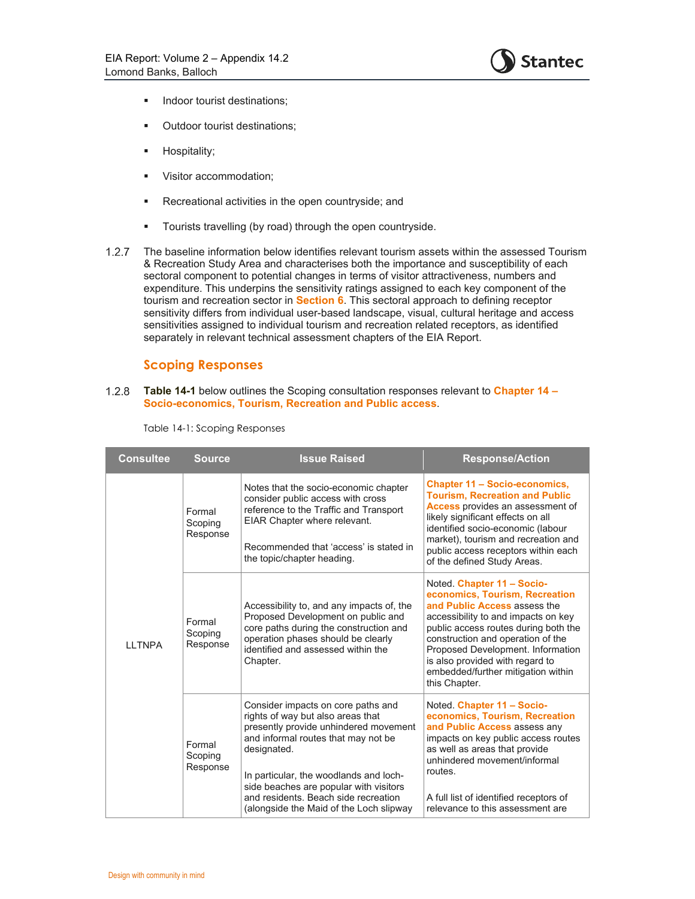

- **Indoor tourist destinations;**
- **•** Outdoor tourist destinations;
- **Hospitality;**
- **Visitor accommodation;**
- **Recreational activities in the open countryside; and**
- **Tourists travelling (by road) through the open countryside.**
- 1.2.7 The baseline information below identifies relevant tourism assets within the assessed Tourism & Recreation Study Area and characterises both the importance and susceptibility of each sectoral component to potential changes in terms of visitor attractiveness, numbers and expenditure. This underpins the sensitivity ratings assigned to each key component of the tourism and recreation sector in **Section 6**. This sectoral approach to defining receptor sensitivity differs from individual user-based landscape, visual, cultural heritage and access sensitivities assigned to individual tourism and recreation related receptors, as identified separately in relevant technical assessment chapters of the EIA Report.

### **Scoping Responses**

**Table 14-1** below outlines the Scoping consultation responses relevant to **Chapter 14 – Socio-economics, Tourism, Recreation and Public access**.

| <b>Consultee</b><br><b>Source</b> |                               | <b>Issue Raised</b>                                                                                                                                                                                                                                                                                                                           | <b>Response/Action</b>                                                                                                                                                                                                                                                                                                                         |
|-----------------------------------|-------------------------------|-----------------------------------------------------------------------------------------------------------------------------------------------------------------------------------------------------------------------------------------------------------------------------------------------------------------------------------------------|------------------------------------------------------------------------------------------------------------------------------------------------------------------------------------------------------------------------------------------------------------------------------------------------------------------------------------------------|
|                                   | Formal<br>Scoping<br>Response | Notes that the socio-economic chapter<br>consider public access with cross<br>reference to the Traffic and Transport<br>EIAR Chapter where relevant.<br>Recommended that 'access' is stated in<br>the topic/chapter heading.                                                                                                                  | <b>Chapter 11 - Socio-economics,</b><br><b>Tourism, Recreation and Public</b><br><b>Access</b> provides an assessment of<br>likely significant effects on all<br>identified socio-economic (labour<br>market), tourism and recreation and<br>public access receptors within each<br>of the defined Study Areas.                                |
| <b>I I TNPA</b>                   | Formal<br>Scoping<br>Response | Accessibility to, and any impacts of, the<br>Proposed Development on public and<br>core paths during the construction and<br>operation phases should be clearly<br>identified and assessed within the<br>Chapter.                                                                                                                             | Noted Chapter 11 - Socio-<br>economics, Tourism, Recreation<br>and Public Access assess the<br>accessibility to and impacts on key<br>public access routes during both the<br>construction and operation of the<br>Proposed Development. Information<br>is also provided with regard to<br>embedded/further mitigation within<br>this Chapter. |
|                                   | Formal<br>Scoping<br>Response | Consider impacts on core paths and<br>rights of way but also areas that<br>presently provide unhindered movement<br>and informal routes that may not be<br>designated.<br>In particular, the woodlands and loch-<br>side beaches are popular with visitors<br>and residents. Beach side recreation<br>(alongside the Maid of the Loch slipway | Noted Chapter 11 - Socio-<br>economics, Tourism, Recreation<br>and Public Access assess any<br>impacts on key public access routes<br>as well as areas that provide<br>unhindered movement/informal<br>routes.<br>A full list of identified receptors of<br>relevance to this assessment are                                                   |

Table 14-1: Scoping Responses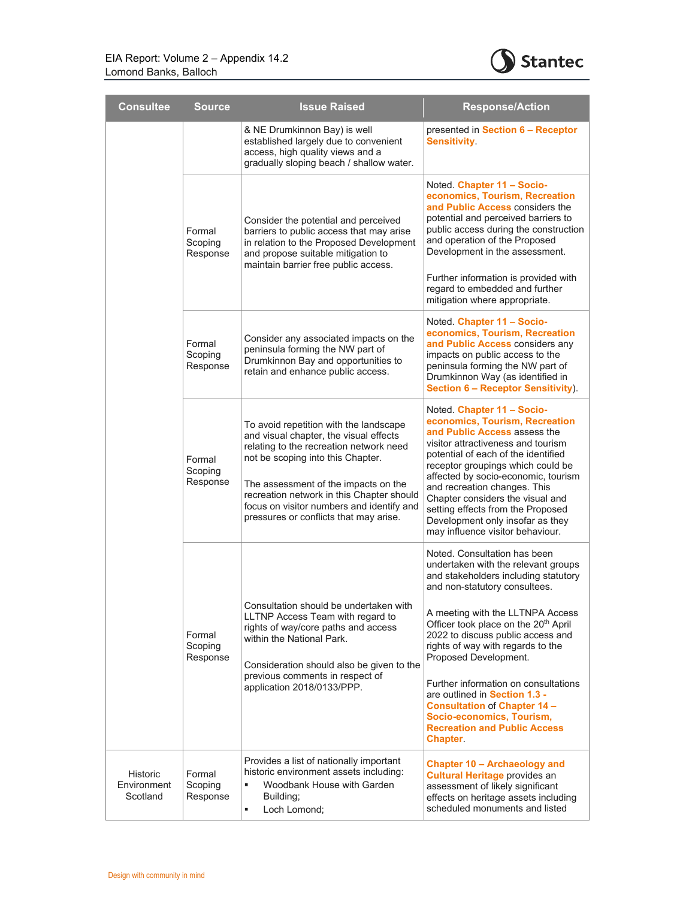

|  | <b>Consultee</b>                    | <b>Source</b>                                                                                                                                                                                                                                                                                                                                | <b>Issue Raised</b>                                                                                                                                                                                                                                                                                                                                                                                                                   | <b>Response/Action</b>                                                                                                                                                                                                                                                                                                                                                                                                                                                                                                                        |
|--|-------------------------------------|----------------------------------------------------------------------------------------------------------------------------------------------------------------------------------------------------------------------------------------------------------------------------------------------------------------------------------------------|---------------------------------------------------------------------------------------------------------------------------------------------------------------------------------------------------------------------------------------------------------------------------------------------------------------------------------------------------------------------------------------------------------------------------------------|-----------------------------------------------------------------------------------------------------------------------------------------------------------------------------------------------------------------------------------------------------------------------------------------------------------------------------------------------------------------------------------------------------------------------------------------------------------------------------------------------------------------------------------------------|
|  |                                     |                                                                                                                                                                                                                                                                                                                                              | & NE Drumkinnon Bay) is well<br>established largely due to convenient<br>access, high quality views and a<br>gradually sloping beach / shallow water.                                                                                                                                                                                                                                                                                 | presented in Section 6 - Receptor<br><b>Sensitivity</b>                                                                                                                                                                                                                                                                                                                                                                                                                                                                                       |
|  | Formal<br>Scoping<br>Response       | Consider the potential and perceived<br>barriers to public access that may arise<br>in relation to the Proposed Development<br>and propose suitable mitigation to<br>maintain barrier free public access.                                                                                                                                    | Noted. Chapter 11 - Socio-<br>economics, Tourism, Recreation<br>and Public Access considers the<br>potential and perceived barriers to<br>public access during the construction<br>and operation of the Proposed<br>Development in the assessment.<br>Further information is provided with<br>regard to embedded and further<br>mitigation where appropriate.                                                                         |                                                                                                                                                                                                                                                                                                                                                                                                                                                                                                                                               |
|  |                                     | Formal<br>Scoping<br>Response                                                                                                                                                                                                                                                                                                                | Consider any associated impacts on the<br>peninsula forming the NW part of<br>Drumkinnon Bay and opportunities to<br>retain and enhance public access.                                                                                                                                                                                                                                                                                | Noted. Chapter 11 - Socio-<br>economics, Tourism, Recreation<br>and Public Access considers any<br>impacts on public access to the<br>peninsula forming the NW part of<br>Drumkinnon Way (as identified in<br><b>Section 6 - Receptor Sensitivity)</b>                                                                                                                                                                                                                                                                                        |
|  | Formal<br>Scoping<br>Response       | To avoid repetition with the landscape<br>and visual chapter, the visual effects<br>relating to the recreation network need<br>not be scoping into this Chapter.<br>The assessment of the impacts on the<br>recreation network in this Chapter should<br>focus on visitor numbers and identify and<br>pressures or conflicts that may arise. | Noted Chapter 11 - Socio-<br>economics, Tourism, Recreation<br>and Public Access assess the<br>visitor attractiveness and tourism<br>potential of each of the identified<br>receptor groupings which could be<br>affected by socio-economic, tourism<br>and recreation changes. This<br>Chapter considers the visual and<br>setting effects from the Proposed<br>Development only insofar as they<br>may influence visitor behaviour. |                                                                                                                                                                                                                                                                                                                                                                                                                                                                                                                                               |
|  |                                     | Formal<br>Scoping<br>Response                                                                                                                                                                                                                                                                                                                | Consultation should be undertaken with<br>LLTNP Access Team with regard to<br>rights of way/core paths and access<br>within the National Park.<br>Consideration should also be given to the<br>previous comments in respect of<br>application 2018/0133/PPP.                                                                                                                                                                          | Noted. Consultation has been<br>undertaken with the relevant groups<br>and stakeholders including statutory<br>and non-statutory consultees.<br>A meeting with the LLTNPA Access<br>Officer took place on the 20 <sup>th</sup> April<br>2022 to discuss public access and<br>rights of way with regards to the<br>Proposed Development.<br>Further information on consultations<br>are outlined in Section 1.3 -<br><b>Consultation of Chapter 14 -</b><br>Socio-economics, Tourism,<br><b>Recreation and Public Access</b><br><b>Chapter</b> |
|  | Historic<br>Environment<br>Scotland | Formal<br>Scoping<br>Response                                                                                                                                                                                                                                                                                                                | Provides a list of nationally important<br>historic environment assets including:<br>×,<br>Woodbank House with Garden<br>Building;<br>٠<br>Loch Lomond;                                                                                                                                                                                                                                                                               | Chapter 10 - Archaeology and<br><b>Cultural Heritage provides an</b><br>assessment of likely significant<br>effects on heritage assets including<br>scheduled monuments and listed                                                                                                                                                                                                                                                                                                                                                            |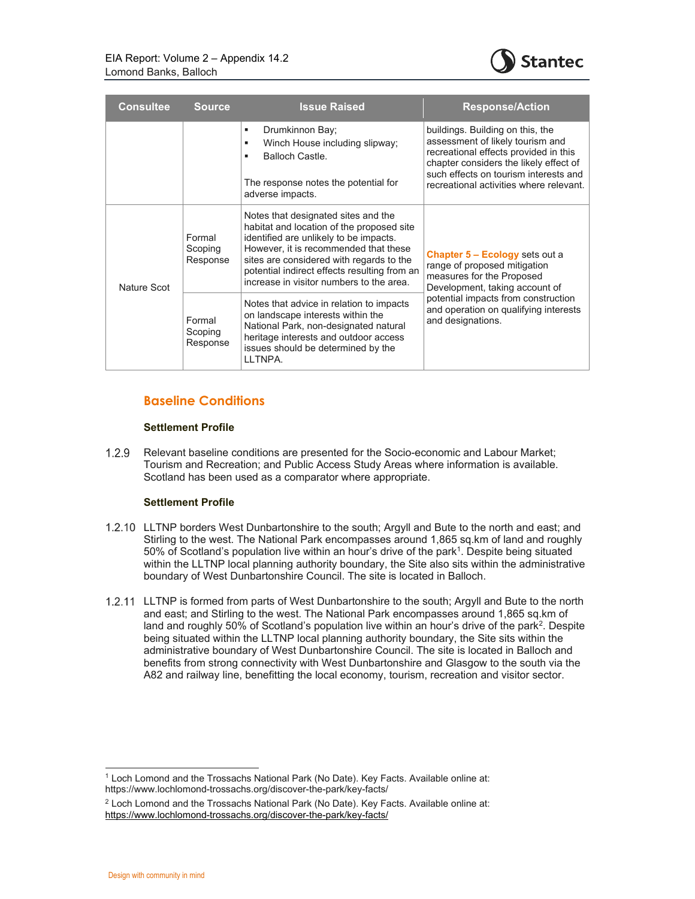

| <b>Consultee</b> | <b>Source</b>                 | <b>Issue Raised</b>                                                                                                                                                                                                                                                                                         | <b>Response/Action</b>                                                                                                                                                                                                                      |
|------------------|-------------------------------|-------------------------------------------------------------------------------------------------------------------------------------------------------------------------------------------------------------------------------------------------------------------------------------------------------------|---------------------------------------------------------------------------------------------------------------------------------------------------------------------------------------------------------------------------------------------|
|                  |                               | Drumkinnon Bay;<br>Winch House including slipway;<br>٠<br>Balloch Castle.<br>٠<br>The response notes the potential for<br>adverse impacts.                                                                                                                                                                  | buildings. Building on this, the<br>assessment of likely tourism and<br>recreational effects provided in this<br>chapter considers the likely effect of<br>such effects on tourism interests and<br>recreational activities where relevant. |
| Nature Scot      | Formal<br>Scoping<br>Response | Notes that designated sites and the<br>habitat and location of the proposed site<br>identified are unlikely to be impacts.<br>However, it is recommended that these<br>sites are considered with regards to the<br>potential indirect effects resulting from an<br>increase in visitor numbers to the area. | <b>Chapter 5 – Ecology sets out a</b><br>range of proposed mitigation<br>measures for the Proposed<br>Development, taking account of                                                                                                        |
|                  | Formal<br>Scoping<br>Response | Notes that advice in relation to impacts<br>on landscape interests within the<br>National Park, non-designated natural<br>heritage interests and outdoor access<br>issues should be determined by the<br>LLTNPA.                                                                                            | potential impacts from construction<br>and operation on qualifying interests<br>and designations.                                                                                                                                           |

### **Baseline Conditions**

### **Settlement Profile**

 Relevant baseline conditions are presented for the Socio-economic and Labour Market; Tourism and Recreation; and Public Access Study Areas where information is available. Scotland has been used as a comparator where appropriate.

### **Settlement Profile**

- LLTNP borders West Dunbartonshire to the south; Argyll and Bute to the north and east; and Stirling to the west. The National Park encompasses around 1,865 sq.km of land and roughly 50% of Scotland's population live within an hour's drive of the park<sup>1</sup>. Despite being situated within the LLTNP local planning authority boundary, the Site also sits within the administrative boundary of West Dunbartonshire Council. The site is located in Balloch.
- LLTNP is formed from parts of West Dunbartonshire to the south; Argyll and Bute to the north and east; and Stirling to the west. The National Park encompasses around 1,865 sq.km of land and roughly 50% of Scotland's population live within an hour's drive of the park2. Despite being situated within the LLTNP local planning authority boundary, the Site sits within the administrative boundary of West Dunbartonshire Council. The site is located in Balloch and benefits from strong connectivity with West Dunbartonshire and Glasgow to the south via the A82 and railway line, benefitting the local economy, tourism, recreation and visitor sector.

<sup>1</sup> Loch Lomond and the Trossachs National Park (No Date). Key Facts. Available online at: https://www.lochlomond-trossachs.org/discover-the-park/key-facts/

<sup>2</sup> Loch Lomond and the Trossachs National Park (No Date). Key Facts. Available online at: https://www.lochlomond-trossachs.org/discover-the-park/key-facts/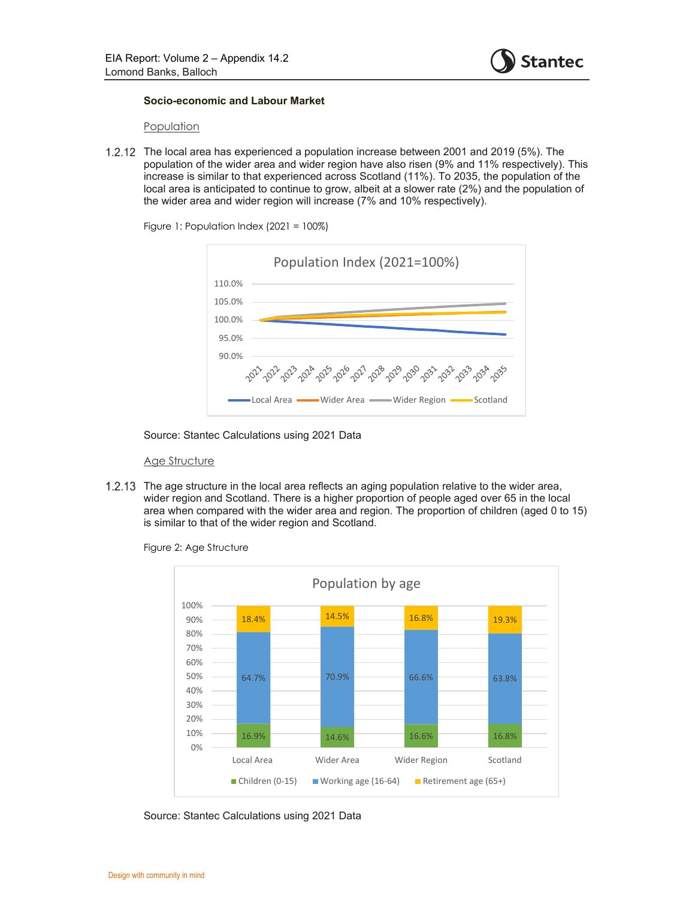

#### **Socio-economic and Labour Market**

#### Population

 The local area has experienced a population increase between 2001 and 2019 (5%). The population of the wider area and wider region have also risen (9% and 11% respectively). This increase is similar to that experienced across Scotland (11%). To 2035, the population of the local area is anticipated to continue to grow, albeit at a slower rate (2%) and the population of the wider area and wider region will increase (7% and 10% respectively).



Figure 1: Population Index (2021 = 100%)

Source: Stantec Calculations using 2021 Data

#### Age Structure

1.2.13 The age structure in the local area reflects an aging population relative to the wider area, wider region and Scotland. There is a higher proportion of people aged over 65 in the local area when compared with the wider area and region. The proportion of children (aged 0 to 15) is similar to that of the wider region and Scotland.

> 16.9% 14.6% 16.6% 16.8% 64.7% 70.9% 66.6% 66.6% 63.8% 18.4% 14.5% 16.8% 19.3% 0% 10% 20% 30% 40% 50% 60% 70% 80% 90% 100% Local Area Wider Area Wider Region Scotland Population by age ■ Children (0-15) ■ Working age (16-64) ■ Retirement age (65+)

Figure 2: Age Structure

Source: Stantec Calculations using 2021 Data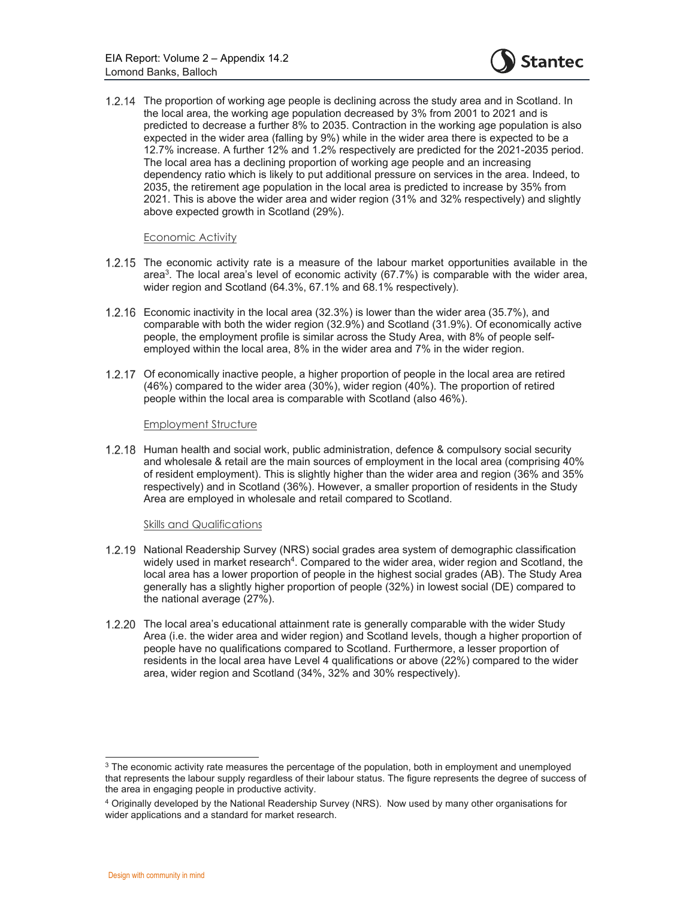

1.2.14 The proportion of working age people is declining across the study area and in Scotland. In the local area, the working age population decreased by 3% from 2001 to 2021 and is predicted to decrease a further 8% to 2035. Contraction in the working age population is also expected in the wider area (falling by 9%) while in the wider area there is expected to be a 12.7% increase. A further 12% and 1.2% respectively are predicted for the 2021-2035 period. The local area has a declining proportion of working age people and an increasing dependency ratio which is likely to put additional pressure on services in the area. Indeed, to 2035, the retirement age population in the local area is predicted to increase by 35% from 2021. This is above the wider area and wider region (31% and 32% respectively) and slightly above expected growth in Scotland (29%).

#### Economic Activity

- 1.2.15 The economic activity rate is a measure of the labour market opportunities available in the area<sup>3</sup> . The local area's level of economic activity (67.7%) is comparable with the wider area, wider region and Scotland (64.3%, 67.1% and 68.1% respectively).
- Economic inactivity in the local area (32.3%) is lower than the wider area (35.7%), and comparable with both the wider region (32.9%) and Scotland (31.9%). Of economically active people, the employment profile is similar across the Study Area, with 8% of people selfemployed within the local area, 8% in the wider area and 7% in the wider region.
- 1.2.17 Of economically inactive people, a higher proportion of people in the local area are retired (46%) compared to the wider area (30%), wider region (40%). The proportion of retired people within the local area is comparable with Scotland (also 46%).

#### Employment Structure

1.2.18 Human health and social work, public administration, defence & compulsory social security and wholesale & retail are the main sources of employment in the local area (comprising 40% of resident employment). This is slightly higher than the wider area and region (36% and 35% respectively) and in Scotland (36%). However, a smaller proportion of residents in the Study Area are employed in wholesale and retail compared to Scotland.

#### Skills and Qualifications

- 1.2.19 National Readership Survey (NRS) social grades area system of demographic classification widely used in market research<sup>4</sup>. Compared to the wider area, wider region and Scotland, the local area has a lower proportion of people in the highest social grades (AB). The Study Area generally has a slightly higher proportion of people (32%) in lowest social (DE) compared to the national average (27%).
- 1.2.20 The local area's educational attainment rate is generally comparable with the wider Study Area (i.e. the wider area and wider region) and Scotland levels, though a higher proportion of people have no qualifications compared to Scotland. Furthermore, a lesser proportion of residents in the local area have Level 4 qualifications or above (22%) compared to the wider area, wider region and Scotland (34%, 32% and 30% respectively).

<sup>&</sup>lt;sup>3</sup> The economic activity rate measures the percentage of the population, both in employment and unemployed that represents the labour supply regardless of their labour status. The figure represents the degree of success of the area in engaging people in productive activity.

<sup>4</sup> Originally developed by the National Readership Survey (NRS). Now used by many other organisations for wider applications and a standard for market research.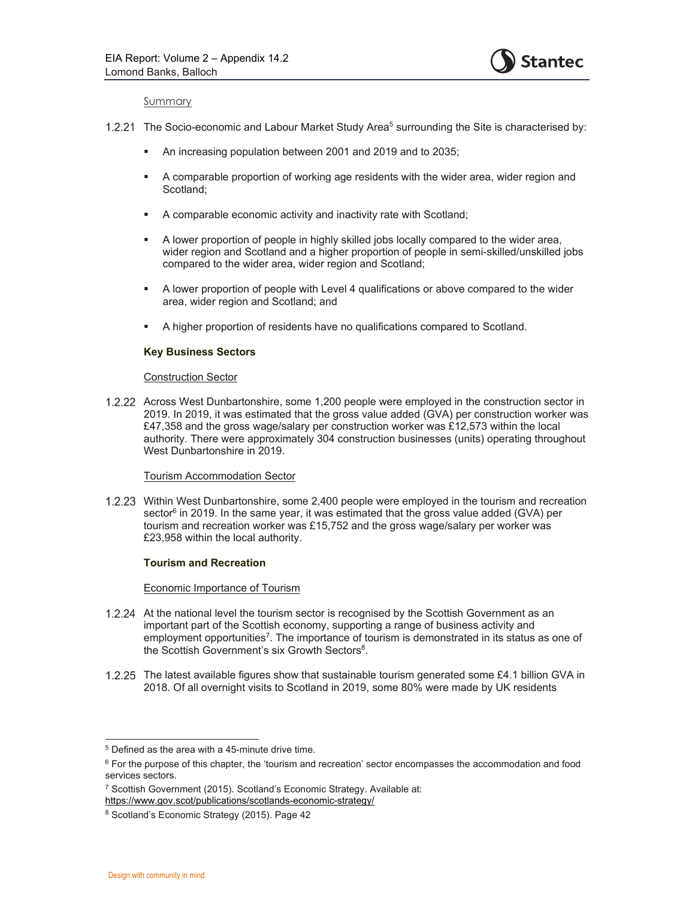

#### Summary

- 1.2.21 The Socio-economic and Labour Market Study Area<sup>5</sup> surrounding the Site is characterised by:
	- An increasing population between 2001 and 2019 and to 2035;
	- A comparable proportion of working age residents with the wider area, wider region and Scotland;
	- A comparable economic activity and inactivity rate with Scotland;
	- A lower proportion of people in highly skilled jobs locally compared to the wider area, wider region and Scotland and a higher proportion of people in semi-skilled/unskilled jobs compared to the wider area, wider region and Scotland;
	- A lower proportion of people with Level 4 qualifications or above compared to the wider area, wider region and Scotland; and
	- A higher proportion of residents have no qualifications compared to Scotland.

#### **Key Business Sectors**

#### Construction Sector

 Across West Dunbartonshire, some 1,200 people were employed in the construction sector in 2019. In 2019, it was estimated that the gross value added (GVA) per construction worker was £47,358 and the gross wage/salary per construction worker was £12,573 within the local authority. There were approximately 304 construction businesses (units) operating throughout West Dunbartonshire in 2019.

#### Tourism Accommodation Sector

1.2.23 Within West Dunbartonshire, some 2,400 people were employed in the tourism and recreation sector $^6$  in 2019. In the same year, it was estimated that the gross value added (GVA) per tourism and recreation worker was £15,752 and the gross wage/salary per worker was £23,958 within the local authority.

#### **Tourism and Recreation**

### Economic Importance of Tourism

- 1.2.24 At the national level the tourism sector is recognised by the Scottish Government as an important part of the Scottish economy, supporting a range of business activity and employment opportunities<sup>7</sup>. The importance of tourism is demonstrated in its status as one of the Scottish Government's six Growth Sectors<sup>8</sup>.
- 1.2.25 The latest available figures show that sustainable tourism generated some £4.1 billion GVA in 2018. Of all overnight visits to Scotland in 2019, some 80% were made by UK residents

 $5$  Defined as the area with a 45-minute drive time.

<sup>6</sup> For the purpose of this chapter, the 'tourism and recreation' sector encompasses the accommodation and food services sectors.

<sup>&</sup>lt;sup>7</sup> Scottish Government (2015). Scotland's Economic Strategy. Available at: https://www.gov.scot/publications/scotlands-economic-strategy/

<sup>8</sup> Scotland's Economic Strategy (2015). Page 42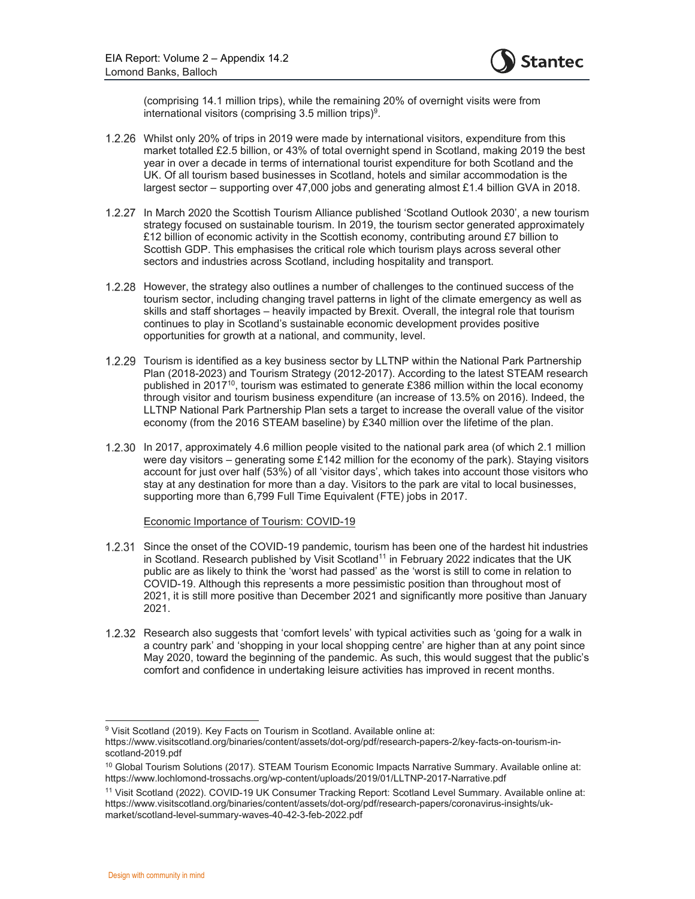

(comprising 14.1 million trips), while the remaining 20% of overnight visits were from international visitors (comprising  $3.5$  million trips)<sup>9</sup>.

- Whilst only 20% of trips in 2019 were made by international visitors, expenditure from this market totalled £2.5 billion, or 43% of total overnight spend in Scotland, making 2019 the best year in over a decade in terms of international tourist expenditure for both Scotland and the UK. Of all tourism based businesses in Scotland, hotels and similar accommodation is the largest sector – supporting over 47,000 jobs and generating almost £1.4 billion GVA in 2018.
- 1.2.27 In March 2020 the Scottish Tourism Alliance published 'Scotland Outlook 2030', a new tourism strategy focused on sustainable tourism. In 2019, the tourism sector generated approximately £12 billion of economic activity in the Scottish economy, contributing around £7 billion to Scottish GDP. This emphasises the critical role which tourism plays across several other sectors and industries across Scotland, including hospitality and transport.
- 1.2.28 However, the strategy also outlines a number of challenges to the continued success of the tourism sector, including changing travel patterns in light of the climate emergency as well as skills and staff shortages – heavily impacted by Brexit. Overall, the integral role that tourism continues to play in Scotland's sustainable economic development provides positive opportunities for growth at a national, and community, level.
- 1.2.29 Tourism is identified as a key business sector by LLTNP within the National Park Partnership Plan (2018-2023) and Tourism Strategy (2012-2017). According to the latest STEAM research published in 2017<sup>10</sup>, tourism was estimated to generate £386 million within the local economy through visitor and tourism business expenditure (an increase of 13.5% on 2016). Indeed, the LLTNP National Park Partnership Plan sets a target to increase the overall value of the visitor economy (from the 2016 STEAM baseline) by £340 million over the lifetime of the plan.
- In 2017, approximately 4.6 million people visited to the national park area (of which 2.1 million were day visitors – generating some £142 million for the economy of the park). Staying visitors account for just over half (53%) of all 'visitor days', which takes into account those visitors who stay at any destination for more than a day. Visitors to the park are vital to local businesses, supporting more than 6,799 Full Time Equivalent (FTE) jobs in 2017.

#### Economic Importance of Tourism: COVID-19

- 1.2.31 Since the onset of the COVID-19 pandemic, tourism has been one of the hardest hit industries in Scotland. Research published by Visit Scotland<sup>11</sup> in February 2022 indicates that the UK public are as likely to think the 'worst had passed' as the 'worst is still to come in relation to COVID-19. Although this represents a more pessimistic position than throughout most of 2021, it is still more positive than December 2021 and significantly more positive than January 2021.
- 1.2.32 Research also suggests that 'comfort levels' with typical activities such as 'going for a walk in a country park' and 'shopping in your local shopping centre' are higher than at any point since May 2020, toward the beginning of the pandemic. As such, this would suggest that the public's comfort and confidence in undertaking leisure activities has improved in recent months.

<sup>9</sup> Visit Scotland (2019). Key Facts on Tourism in Scotland. Available online at: https://www.visitscotland.org/binaries/content/assets/dot-org/pdf/research-papers-2/key-facts-on-tourism-inscotland-2019.pdf

 $10$  Global Tourism Solutions (2017). STEAM Tourism Economic Impacts Narrative Summary. Available online at: https://www.lochlomond-trossachs.org/wp-content/uploads/2019/01/LLTNP-2017-Narrative.pdf

<sup>11</sup> Visit Scotland (2022). COVID-19 UK Consumer Tracking Report: Scotland Level Summary. Available online at: https://www.visitscotland.org/binaries/content/assets/dot-org/pdf/research-papers/coronavirus-insights/ukmarket/scotland-level-summary-waves-40-42-3-feb-2022.pdf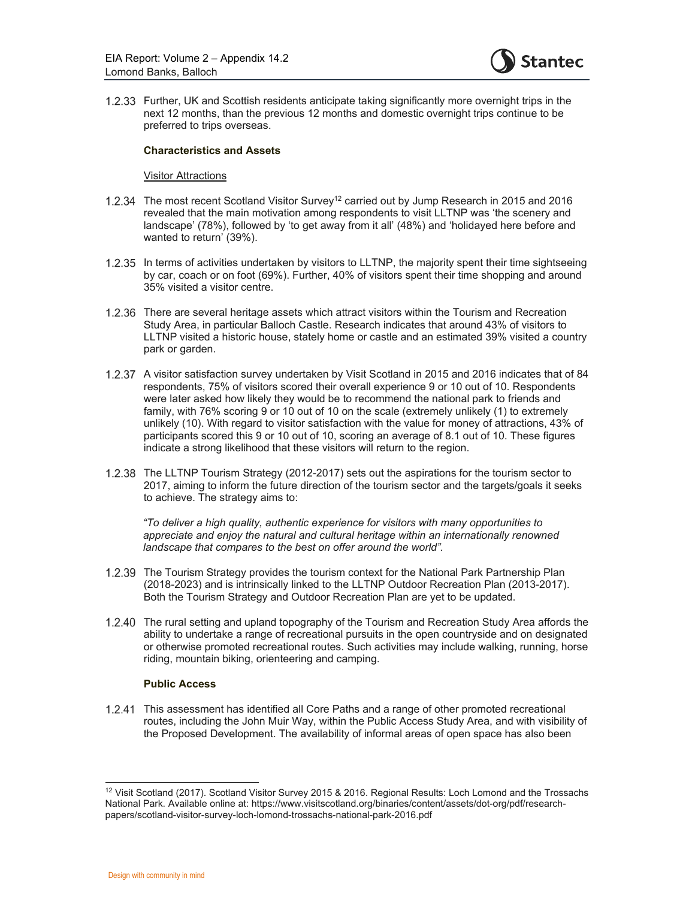

 Further, UK and Scottish residents anticipate taking significantly more overnight trips in the next 12 months, than the previous 12 months and domestic overnight trips continue to be preferred to trips overseas.

#### **Characteristics and Assets**

#### Visitor Attractions

- 1.2.34 The most recent Scotland Visitor Survey<sup>12</sup> carried out by Jump Research in 2015 and 2016 revealed that the main motivation among respondents to visit LLTNP was 'the scenery and landscape' (78%), followed by 'to get away from it all' (48%) and 'holidayed here before and wanted to return' (39%).
- 1.2.35 In terms of activities undertaken by visitors to LLTNP, the majority spent their time sightseeing by car, coach or on foot (69%). Further, 40% of visitors spent their time shopping and around 35% visited a visitor centre.
- 1.2.36 There are several heritage assets which attract visitors within the Tourism and Recreation Study Area, in particular Balloch Castle. Research indicates that around 43% of visitors to LLTNP visited a historic house, stately home or castle and an estimated 39% visited a country park or garden.
- A visitor satisfaction survey undertaken by Visit Scotland in 2015 and 2016 indicates that of 84 respondents, 75% of visitors scored their overall experience 9 or 10 out of 10. Respondents were later asked how likely they would be to recommend the national park to friends and family, with 76% scoring 9 or 10 out of 10 on the scale (extremely unlikely (1) to extremely unlikely (10). With regard to visitor satisfaction with the value for money of attractions, 43% of participants scored this 9 or 10 out of 10, scoring an average of 8.1 out of 10. These figures indicate a strong likelihood that these visitors will return to the region.
- 1.2.38 The LLTNP Tourism Strategy (2012-2017) sets out the aspirations for the tourism sector to 2017, aiming to inform the future direction of the tourism sector and the targets/goals it seeks to achieve. The strategy aims to:

 *"To deliver a high quality, authentic experience for visitors with many opportunities to appreciate and enjoy the natural and cultural heritage within an internationally renowned landscape that compares to the best on offer around the world".* 

- The Tourism Strategy provides the tourism context for the National Park Partnership Plan (2018-2023) and is intrinsically linked to the LLTNP Outdoor Recreation Plan (2013-2017). Both the Tourism Strategy and Outdoor Recreation Plan are yet to be updated.
- 1.2.40 The rural setting and upland topography of the Tourism and Recreation Study Area affords the ability to undertake a range of recreational pursuits in the open countryside and on designated or otherwise promoted recreational routes. Such activities may include walking, running, horse riding, mountain biking, orienteering and camping.

#### **Public Access**

 This assessment has identified all Core Paths and a range of other promoted recreational routes, including the John Muir Way, within the Public Access Study Area, and with visibility of the Proposed Development. The availability of informal areas of open space has also been

<sup>12</sup> Visit Scotland (2017). Scotland Visitor Survey 2015 & 2016. Regional Results: Loch Lomond and the Trossachs National Park. Available online at: https://www.visitscotland.org/binaries/content/assets/dot-org/pdf/researchpapers/scotland-visitor-survey-loch-lomond-trossachs-national-park-2016.pdf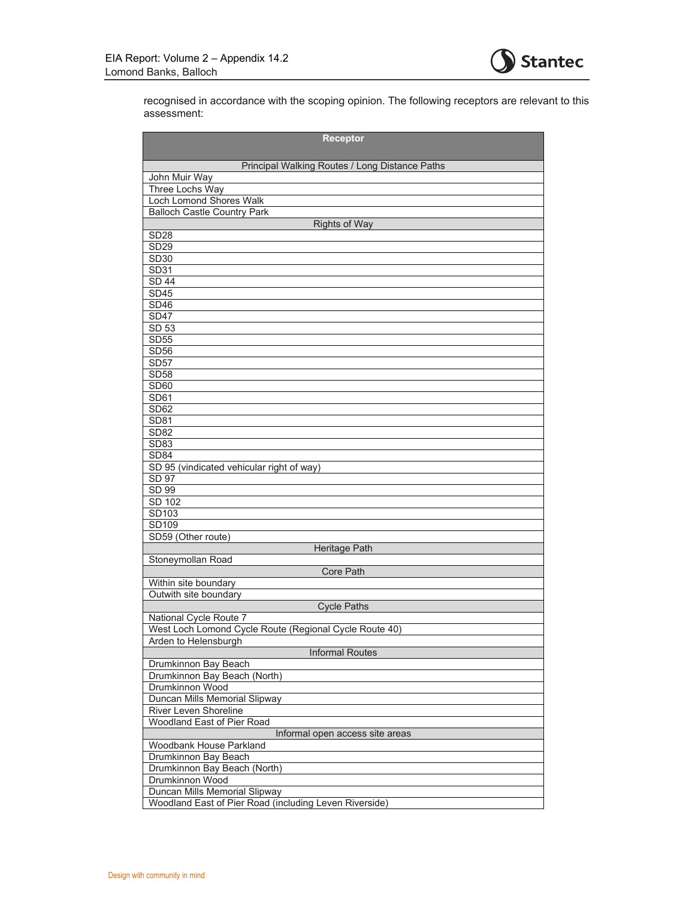

recognised in accordance with the scoping opinion. The following receptors are relevant to this assessment:

| <b>Receptor</b>                                        |
|--------------------------------------------------------|
| Principal Walking Routes / Long Distance Paths         |
| John Muir Way                                          |
| Three Lochs Way                                        |
| Loch Lomond Shores Walk                                |
| <b>Balloch Castle Country Park</b>                     |
| <b>Rights of Way</b>                                   |
| <b>SD28</b>                                            |
| <b>SD29</b>                                            |
| SD30                                                   |
| SD31                                                   |
| <b>SD 44</b>                                           |
| <b>SD45</b>                                            |
| <b>SD46</b>                                            |
| SD47                                                   |
| $\overline{SD}$ 53                                     |
| <b>SD55</b>                                            |
| <b>SD56</b>                                            |
| <b>SD57</b>                                            |
| <b>SD58</b>                                            |
| SD <sub>60</sub>                                       |
| SD61                                                   |
| SD62                                                   |
| <b>SD81</b>                                            |
| <b>SD82</b>                                            |
| <b>SD83</b>                                            |
| <b>SD84</b>                                            |
| SD 95 (vindicated vehicular right of way)              |
| SD 97                                                  |
| SD 99                                                  |
| SD 102                                                 |
| SD103                                                  |
| SD109                                                  |
| SD59 (Other route)                                     |
| <b>Heritage Path</b>                                   |
| Stoneymollan Road                                      |
| <b>Core Path</b>                                       |
| Within site boundary                                   |
| Outwith site boundary                                  |
| <b>Cycle Paths</b>                                     |
| National Cycle Route 7                                 |
| West Loch Lomond Cycle Route (Regional Cycle Route 40) |
|                                                        |
| Arden to Helensburgh                                   |
| <b>Informal Routes</b>                                 |
| Drumkinnon Bay Beach                                   |
| Drumkinnon Bay Beach (North)                           |
| Drumkinnon Wood                                        |
| Duncan Mills Memorial Slipway                          |
| River Leven Shoreline                                  |
| Woodland East of Pier Road                             |
| Informal open access site areas                        |
| Woodbank House Parkland                                |
| Drumkinnon Bay Beach                                   |
| Drumkinnon Bay Beach (North)                           |
| Drumkinnon Wood                                        |
| Duncan Mills Memorial Slipway                          |
| Woodland East of Pier Road (including Leven Riverside) |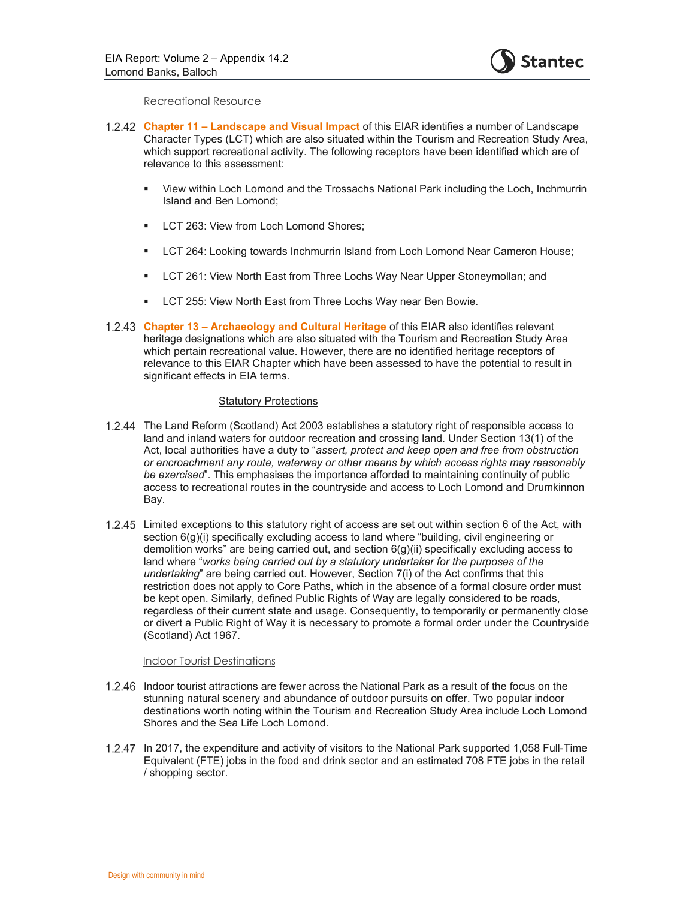

#### Recreational Resource

- **Chapter 11 Landscape and Visual Impact** of this EIAR identifies a number of Landscape Character Types (LCT) which are also situated within the Tourism and Recreation Study Area, which support recreational activity. The following receptors have been identified which are of relevance to this assessment:
	- View within Loch Lomond and the Trossachs National Park including the Loch, Inchmurrin Island and Ben Lomond;
	- **LCT 263: View from Loch Lomond Shores:**
	- **LCT 264: Looking towards Inchmurrin Island from Loch Lomond Near Cameron House;**
	- LCT 261: View North East from Three Lochs Way Near Upper Stoneymollan; and
	- **EXECT 255: View North East from Three Lochs Way near Ben Bowie.**
- **Chapter 13 Archaeology and Cultural Heritage** of this EIAR also identifies relevant heritage designations which are also situated with the Tourism and Recreation Study Area which pertain recreational value. However, there are no identified heritage receptors of relevance to this EIAR Chapter which have been assessed to have the potential to result in significant effects in EIA terms.

#### Statutory Protections

- 1.2.44 The Land Reform (Scotland) Act 2003 establishes a statutory right of responsible access to land and inland waters for outdoor recreation and crossing land. Under Section 13(1) of the Act, local authorities have a duty to "*assert, protect and keep open and free from obstruction or encroachment any route, waterway or other means by which access rights may reasonably be exercised*". This emphasises the importance afforded to maintaining continuity of public access to recreational routes in the countryside and access to Loch Lomond and Drumkinnon Bay.
- Limited exceptions to this statutory right of access are set out within section 6 of the Act, with section 6(g)(i) specifically excluding access to land where "building, civil engineering or demolition works" are being carried out, and section 6(g)(ii) specifically excluding access to land where "*works being carried out by a statutory undertaker for the purposes of the undertaking*" are being carried out. However, Section 7(i) of the Act confirms that this restriction does not apply to Core Paths, which in the absence of a formal closure order must be kept open. Similarly, defined Public Rights of Way are legally considered to be roads, regardless of their current state and usage. Consequently, to temporarily or permanently close or divert a Public Right of Way it is necessary to promote a formal order under the Countryside (Scotland) Act 1967.

#### Indoor Tourist Destinations

- 1.2.46 Indoor tourist attractions are fewer across the National Park as a result of the focus on the stunning natural scenery and abundance of outdoor pursuits on offer. Two popular indoor destinations worth noting within the Tourism and Recreation Study Area include Loch Lomond Shores and the Sea Life Loch Lomond.
- 1.2.47 In 2017, the expenditure and activity of visitors to the National Park supported 1,058 Full-Time Equivalent (FTE) jobs in the food and drink sector and an estimated 708 FTE jobs in the retail / shopping sector.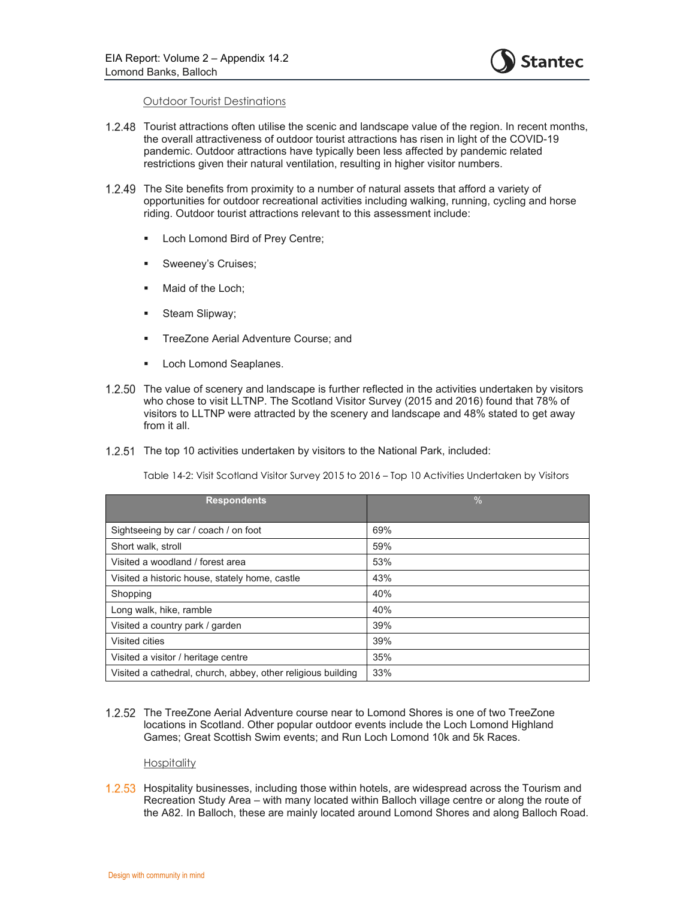

#### Outdoor Tourist Destinations

- 1.2.48 Tourist attractions often utilise the scenic and landscape value of the region. In recent months, the overall attractiveness of outdoor tourist attractions has risen in light of the COVID-19 pandemic. Outdoor attractions have typically been less affected by pandemic related restrictions given their natural ventilation, resulting in higher visitor numbers.
- The Site benefits from proximity to a number of natural assets that afford a variety of opportunities for outdoor recreational activities including walking, running, cycling and horse riding. Outdoor tourist attractions relevant to this assessment include:
	- **Loch Lomond Bird of Prey Centre;**
	- **Sweeney's Cruises;**
	- **Maid of the Loch;**
	- **Steam Slipway;**
	- TreeZone Aerial Adventure Course; and
	- **Loch Lomond Seaplanes.**
- The value of scenery and landscape is further reflected in the activities undertaken by visitors who chose to visit LLTNP. The Scotland Visitor Survey (2015 and 2016) found that 78% of visitors to LLTNP were attracted by the scenery and landscape and 48% stated to get away from it all.
- 1.2.51 The top 10 activities undertaken by visitors to the National Park, included:

Table 14-2: Visit Scotland Visitor Survey 2015 to 2016 – Top 10 Activities Undertaken by Visitors

| <b>Respondents</b>                                           | $\frac{0}{0}$ |
|--------------------------------------------------------------|---------------|
| Sightseeing by car / coach / on foot                         | 69%           |
| Short walk, stroll                                           | 59%           |
| Visited a woodland / forest area                             | 53%           |
| Visited a historic house, stately home, castle               | 43%           |
| Shopping                                                     | 40%           |
| Long walk, hike, ramble                                      | 40%           |
| Visited a country park / garden                              | 39%           |
| Visited cities                                               | 39%           |
| Visited a visitor / heritage centre                          | 35%           |
| Visited a cathedral, church, abbey, other religious building | 33%           |

1.2.52 The TreeZone Aerial Adventure course near to Lomond Shores is one of two TreeZone locations in Scotland. Other popular outdoor events include the Loch Lomond Highland Games; Great Scottish Swim events; and Run Loch Lomond 10k and 5k Races.

#### **Hospitality**

1.2.53 Hospitality businesses, including those within hotels, are widespread across the Tourism and Recreation Study Area – with many located within Balloch village centre or along the route of the A82. In Balloch, these are mainly located around Lomond Shores and along Balloch Road.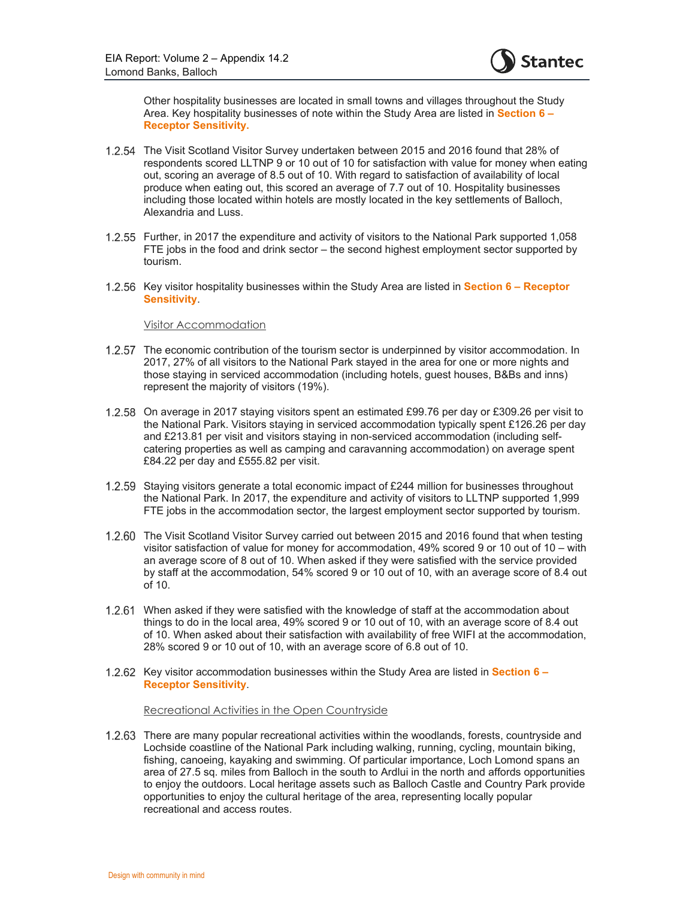

Other hospitality businesses are located in small towns and villages throughout the Study Area. Key hospitality businesses of note within the Study Area are listed in **Section 6 – Receptor Sensitivity.** 

- 1.2.54 The Visit Scotland Visitor Survey undertaken between 2015 and 2016 found that 28% of respondents scored LLTNP 9 or 10 out of 10 for satisfaction with value for money when eating out, scoring an average of 8.5 out of 10. With regard to satisfaction of availability of local produce when eating out, this scored an average of 7.7 out of 10. Hospitality businesses including those located within hotels are mostly located in the key settlements of Balloch, Alexandria and Luss.
- Further, in 2017 the expenditure and activity of visitors to the National Park supported 1,058 FTE jobs in the food and drink sector – the second highest employment sector supported by tourism.
- 1.2.56 Key visitor hospitality businesses within the Study Area are listed in **Section 6 Receptor Sensitivity**.

#### Visitor Accommodation

- 1.2.57 The economic contribution of the tourism sector is underpinned by visitor accommodation. In 2017, 27% of all visitors to the National Park stayed in the area for one or more nights and those staying in serviced accommodation (including hotels, guest houses, B&Bs and inns) represent the majority of visitors (19%).
- 1.2.58 On average in 2017 staying visitors spent an estimated £99.76 per day or £309.26 per visit to the National Park. Visitors staying in serviced accommodation typically spent £126.26 per day and £213.81 per visit and visitors staying in non-serviced accommodation (including selfcatering properties as well as camping and caravanning accommodation) on average spent £84.22 per day and £555.82 per visit.
- 1.2.59 Staying visitors generate a total economic impact of £244 million for businesses throughout the National Park. In 2017, the expenditure and activity of visitors to LLTNP supported 1,999 FTE jobs in the accommodation sector, the largest employment sector supported by tourism.
- 1.2.60 The Visit Scotland Visitor Survey carried out between 2015 and 2016 found that when testing visitor satisfaction of value for money for accommodation, 49% scored 9 or 10 out of 10 – with an average score of 8 out of 10. When asked if they were satisfied with the service provided by staff at the accommodation, 54% scored 9 or 10 out of 10, with an average score of 8.4 out of 10.
- When asked if they were satisfied with the knowledge of staff at the accommodation about things to do in the local area, 49% scored 9 or 10 out of 10, with an average score of 8.4 out of 10. When asked about their satisfaction with availability of free WIFI at the accommodation, 28% scored 9 or 10 out of 10, with an average score of 6.8 out of 10.
- 1.2.62 Key visitor accommodation businesses within the Study Area are listed in **Section 6 Receptor Sensitivity**.

#### Recreational Activities in the Open Countryside

1.2.63 There are many popular recreational activities within the woodlands, forests, countryside and Lochside coastline of the National Park including walking, running, cycling, mountain biking, fishing, canoeing, kayaking and swimming. Of particular importance, Loch Lomond spans an area of 27.5 sq. miles from Balloch in the south to Ardlui in the north and affords opportunities to enjoy the outdoors. Local heritage assets such as Balloch Castle and Country Park provide opportunities to enjoy the cultural heritage of the area, representing locally popular recreational and access routes.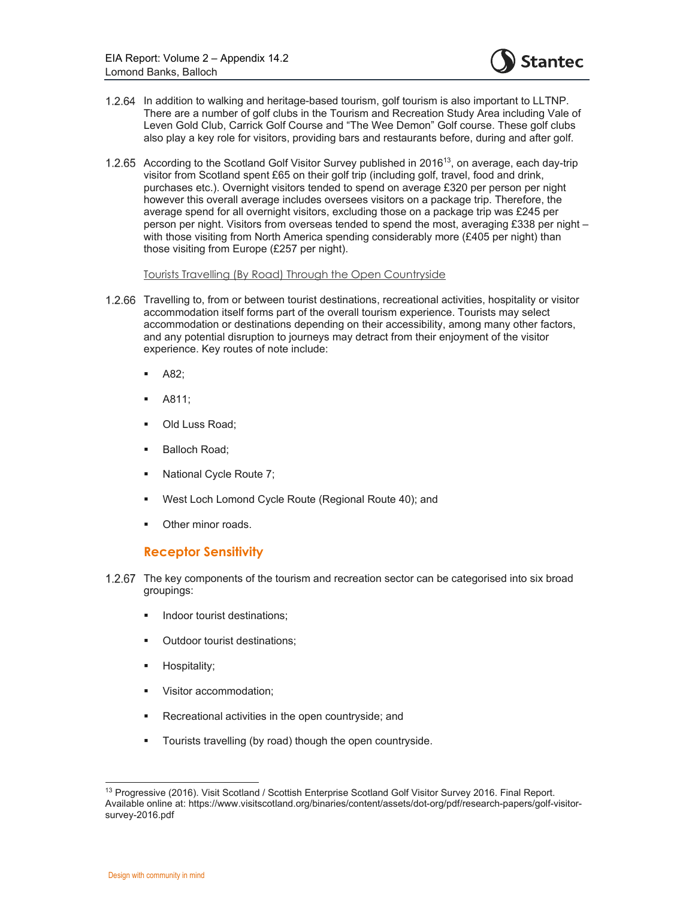

- 1.2.64 In addition to walking and heritage-based tourism, golf tourism is also important to LLTNP. There are a number of golf clubs in the Tourism and Recreation Study Area including Vale of Leven Gold Club, Carrick Golf Course and "The Wee Demon" Golf course. These golf clubs also play a key role for visitors, providing bars and restaurants before, during and after golf.
- 1.2.65 According to the Scotland Golf Visitor Survey published in 2016<sup>13</sup>, on average, each day-trip visitor from Scotland spent £65 on their golf trip (including golf, travel, food and drink, purchases etc.). Overnight visitors tended to spend on average £320 per person per night however this overall average includes oversees visitors on a package trip. Therefore, the average spend for all overnight visitors, excluding those on a package trip was £245 per person per night. Visitors from overseas tended to spend the most, averaging £338 per night – with those visiting from North America spending considerably more (£405 per night) than those visiting from Europe (£257 per night).

Tourists Travelling (By Road) Through the Open Countryside

- 1.2.66 Travelling to, from or between tourist destinations, recreational activities, hospitality or visitor accommodation itself forms part of the overall tourism experience. Tourists may select accommodation or destinations depending on their accessibility, among many other factors, and any potential disruption to journeys may detract from their enjoyment of the visitor experience. Key routes of note include:
	- A82;
	- A811;
	- Old Luss Road;
	- **Balloch Road;**
	- National Cycle Route 7;
	- West Loch Lomond Cycle Route (Regional Route 40); and
	- Other minor roads.

### **Receptor Sensitivity**

- 1.2.67 The key components of the tourism and recreation sector can be categorised into six broad groupings:
	- **Indoor tourist destinations;**
	- **•** Outdoor tourist destinations;
	- **Hospitality;**
	- **•** Visitor accommodation;
	- **Recreational activities in the open countryside; and**
	- **Tourists travelling (by road) though the open countryside.**

<sup>13</sup> Progressive (2016). Visit Scotland / Scottish Enterprise Scotland Golf Visitor Survey 2016. Final Report. Available online at: https://www.visitscotland.org/binaries/content/assets/dot-org/pdf/research-papers/golf-visitorsurvey-2016.pdf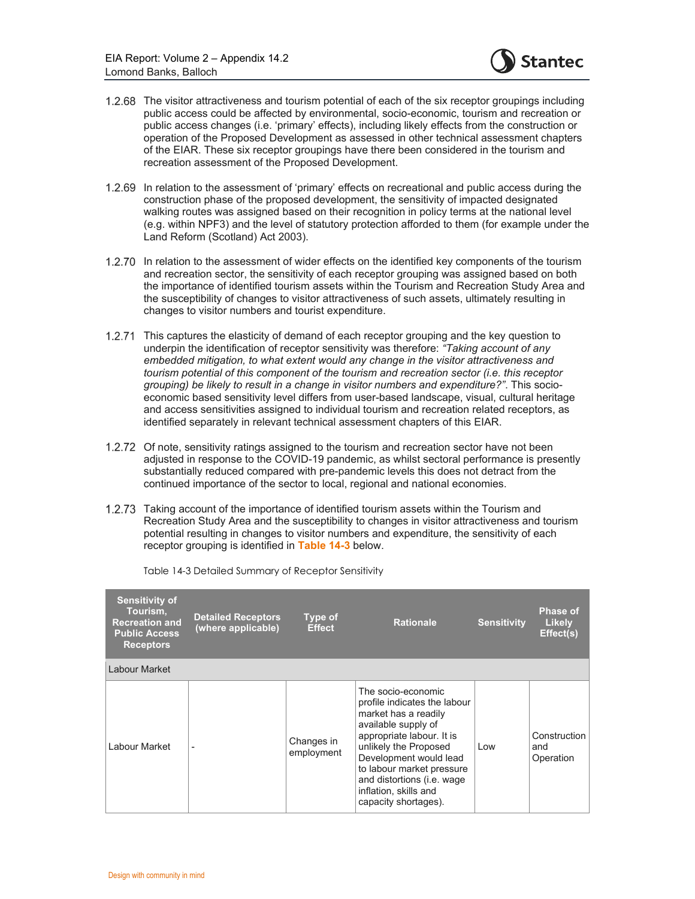

- 1.2.68 The visitor attractiveness and tourism potential of each of the six receptor groupings including public access could be affected by environmental, socio-economic, tourism and recreation or public access changes (i.e. 'primary' effects), including likely effects from the construction or operation of the Proposed Development as assessed in other technical assessment chapters of the EIAR. These six receptor groupings have there been considered in the tourism and recreation assessment of the Proposed Development.
- 1.2.69 In relation to the assessment of 'primary' effects on recreational and public access during the construction phase of the proposed development, the sensitivity of impacted designated walking routes was assigned based on their recognition in policy terms at the national level (e.g. within NPF3) and the level of statutory protection afforded to them (for example under the Land Reform (Scotland) Act 2003).
- 1.2.70 In relation to the assessment of wider effects on the identified key components of the tourism and recreation sector, the sensitivity of each receptor grouping was assigned based on both the importance of identified tourism assets within the Tourism and Recreation Study Area and the susceptibility of changes to visitor attractiveness of such assets, ultimately resulting in changes to visitor numbers and tourist expenditure.
- 1.2.71 This captures the elasticity of demand of each receptor grouping and the key question to underpin the identification of receptor sensitivity was therefore: *"Taking account of any embedded mitigation, to what extent would any change in the visitor attractiveness and tourism potential of this component of the tourism and recreation sector (i.e. this receptor grouping) be likely to result in a change in visitor numbers and expenditure?"*. This socioeconomic based sensitivity level differs from user-based landscape, visual, cultural heritage and access sensitivities assigned to individual tourism and recreation related receptors, as identified separately in relevant technical assessment chapters of this EIAR.
- 1.2.72 Of note, sensitivity ratings assigned to the tourism and recreation sector have not been adjusted in response to the COVID-19 pandemic, as whilst sectoral performance is presently substantially reduced compared with pre-pandemic levels this does not detract from the continued importance of the sector to local, regional and national economies.
- Taking account of the importance of identified tourism assets within the Tourism and Recreation Study Area and the susceptibility to changes in visitor attractiveness and tourism potential resulting in changes to visitor numbers and expenditure, the sensitivity of each receptor grouping is identified in **Table 14-3** below.

| <b>Sensitivity of</b><br>Tourism,<br><b>Recreation and</b><br><b>Public Access</b><br><b>Receptors</b> | <b>Detailed Receptors</b><br>(where applicable) | Type of<br><b>Effect</b> | <b>Rationale</b>                                                                                                                                                                                                                                                                              | <b>Sensitivity</b> | <b>Phase of</b><br><b>Likely</b><br>Effect(s) |
|--------------------------------------------------------------------------------------------------------|-------------------------------------------------|--------------------------|-----------------------------------------------------------------------------------------------------------------------------------------------------------------------------------------------------------------------------------------------------------------------------------------------|--------------------|-----------------------------------------------|
| Labour Market                                                                                          |                                                 |                          |                                                                                                                                                                                                                                                                                               |                    |                                               |
| Labour Market                                                                                          |                                                 | Changes in<br>employment | The socio-economic<br>profile indicates the labour<br>market has a readily<br>available supply of<br>appropriate labour. It is<br>unlikely the Proposed<br>Development would lead<br>to labour market pressure<br>and distortions (i.e. wage<br>inflation, skills and<br>capacity shortages). | Low                | Construction<br>and<br>Operation              |

Table 14-3 Detailed Summary of Receptor Sensitivity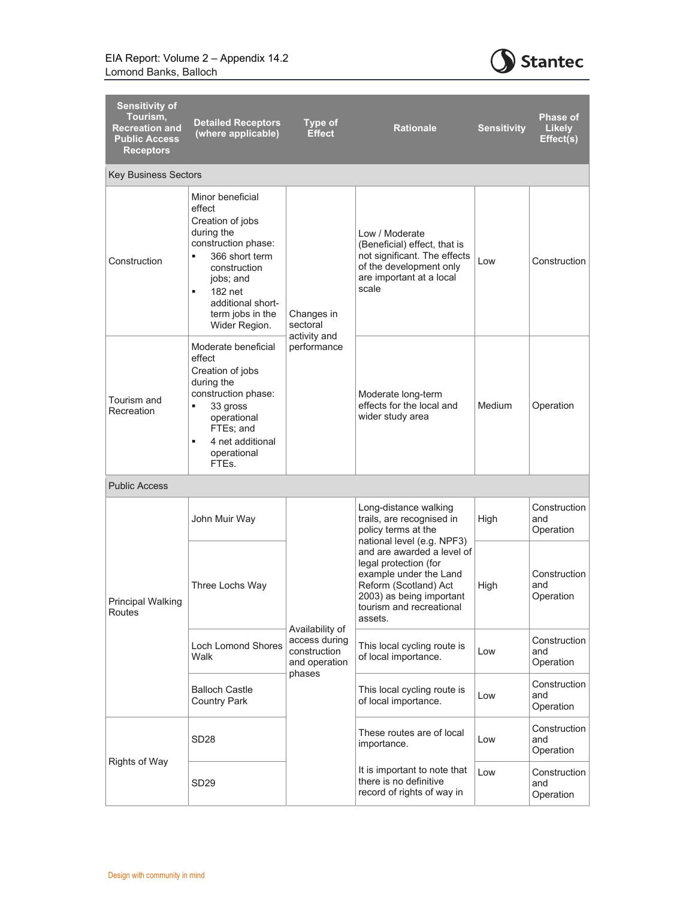

| <b>Sensitivity of</b><br>Tourism,<br><b>Recreation and</b><br><b>Public Access</b><br><b>Receptors</b> | <b>Detailed Receptors</b><br>(where applicable)                                                                                                                                                                   | <b>Type of</b><br><b>Effect</b>                                   | <b>Rationale</b>                                                                                                                               | <b>Sensitivity</b>                                                                                                                                                                                      | <b>Phase of</b><br><b>Likely</b><br>Effect(s) |
|--------------------------------------------------------------------------------------------------------|-------------------------------------------------------------------------------------------------------------------------------------------------------------------------------------------------------------------|-------------------------------------------------------------------|------------------------------------------------------------------------------------------------------------------------------------------------|---------------------------------------------------------------------------------------------------------------------------------------------------------------------------------------------------------|-----------------------------------------------|
| <b>Key Business Sectors</b>                                                                            |                                                                                                                                                                                                                   |                                                                   |                                                                                                                                                |                                                                                                                                                                                                         |                                               |
| Construction                                                                                           | Minor beneficial<br>effect<br>Creation of jobs<br>during the<br>construction phase:<br>366 short term<br>٠<br>construction<br>jobs; and<br>182 net<br>٠<br>additional short-<br>term jobs in the<br>Wider Region. | Changes in<br>sectoral<br>activity and<br>performance             | Low / Moderate<br>(Beneficial) effect, that is<br>not significant. The effects<br>of the development only<br>are important at a local<br>scale | Low                                                                                                                                                                                                     | Construction                                  |
| Tourism and<br>Recreation                                                                              | Moderate beneficial<br>effect<br>Creation of jobs<br>during the<br>construction phase:<br>٠<br>33 gross<br>operational<br>FTEs; and<br>4 net additional<br>٠<br>operational<br>FTEs.                              |                                                                   | Moderate long-term<br>effects for the local and<br>wider study area                                                                            | <b>Medium</b>                                                                                                                                                                                           | Operation                                     |
| <b>Public Access</b>                                                                                   |                                                                                                                                                                                                                   |                                                                   |                                                                                                                                                |                                                                                                                                                                                                         |                                               |
|                                                                                                        | John Muir Way                                                                                                                                                                                                     |                                                                   | Long-distance walking<br>trails, are recognised in<br>policy terms at the                                                                      | High                                                                                                                                                                                                    | Construction<br>and<br>Operation              |
| Principal Walking<br>Routes                                                                            | Three Lochs Way                                                                                                                                                                                                   |                                                                   |                                                                                                                                                | national level (e.g. NPF3)<br>and are awarded a level of<br>legal protection (for<br>example under the Land<br>Reform (Scotland) Act<br>2003) as being important<br>tourism and recreational<br>assets. | High                                          |
|                                                                                                        | <b>Loch Lomond Shores</b><br>Walk                                                                                                                                                                                 | Availability of<br>access during<br>construction<br>and operation | This local cycling route is<br>of local importance.                                                                                            | Low                                                                                                                                                                                                     | Construction<br>and<br>Operation              |
|                                                                                                        | <b>Balloch Castle</b><br><b>Country Park</b>                                                                                                                                                                      | phases                                                            | This local cycling route is<br>of local importance.                                                                                            | Low                                                                                                                                                                                                     | Construction<br>and<br>Operation              |
|                                                                                                        | SD <sub>28</sub>                                                                                                                                                                                                  |                                                                   | These routes are of local<br>importance.                                                                                                       | Low                                                                                                                                                                                                     | Construction<br>and<br>Operation              |
| <b>Rights of Way</b>                                                                                   | SD <sub>29</sub>                                                                                                                                                                                                  |                                                                   | It is important to note that<br>there is no definitive<br>record of rights of way in                                                           | Low                                                                                                                                                                                                     | Construction<br>and<br>Operation              |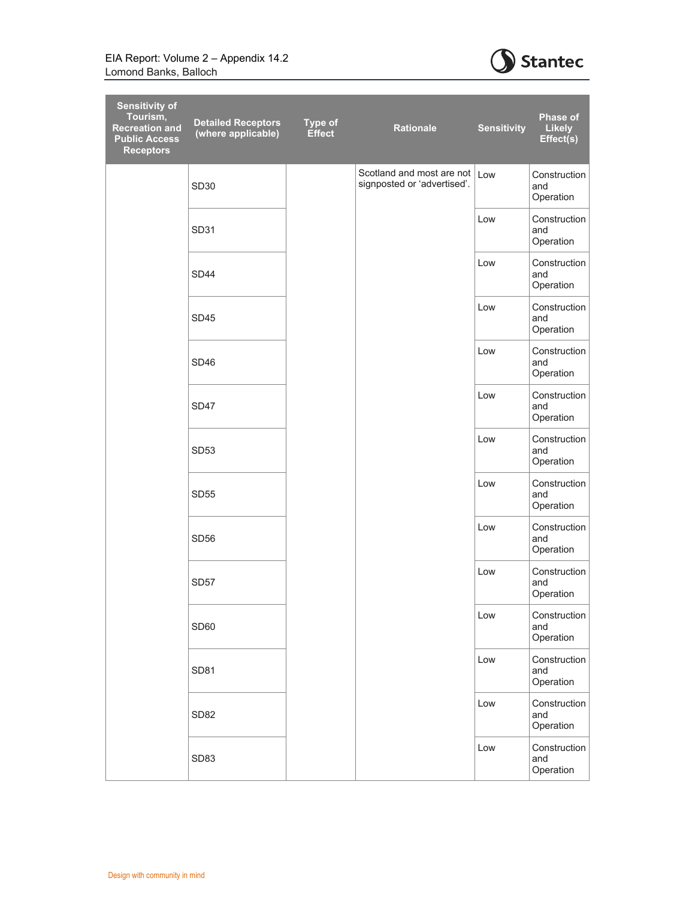

| <b>Sensitivity of</b><br>Tourism,<br><b>Recreation and</b><br><b>Public Access</b><br><b>Receptors</b> | <b>Detailed Receptors</b><br>(where applicable) | <b>Type of</b><br><b>Effect</b> | <b>Rationale</b>                                         | <b>Sensitivity</b> | <b>Phase of</b><br><b>Likely</b><br>Effect(s) |
|--------------------------------------------------------------------------------------------------------|-------------------------------------------------|---------------------------------|----------------------------------------------------------|--------------------|-----------------------------------------------|
|                                                                                                        | <b>SD30</b>                                     |                                 | Scotland and most are not<br>signposted or 'advertised'. | Low                | Construction<br>and<br>Operation              |
|                                                                                                        | <b>SD31</b>                                     |                                 |                                                          | Low                | Construction<br>and<br>Operation              |
|                                                                                                        | SD <sub>44</sub>                                |                                 |                                                          | Low                | Construction<br>and<br>Operation              |
|                                                                                                        | <b>SD45</b>                                     |                                 |                                                          | Low                | Construction<br>and<br>Operation              |
|                                                                                                        | SD46                                            |                                 |                                                          | Low                | Construction<br>and<br>Operation              |
|                                                                                                        | SD47                                            |                                 |                                                          | Low                | Construction<br>and<br>Operation              |
|                                                                                                        | SD <sub>53</sub>                                |                                 |                                                          | Low                | Construction<br>and<br>Operation              |
|                                                                                                        | <b>SD55</b>                                     |                                 |                                                          | Low                | Construction<br>and<br>Operation              |
|                                                                                                        | SD <sub>56</sub>                                |                                 |                                                          | Low                | Construction<br>and<br>Operation              |
|                                                                                                        | <b>SD57</b>                                     |                                 |                                                          | Low                | Construction<br>and<br>Operation              |
|                                                                                                        | SD60                                            |                                 |                                                          | Low                | Construction<br>and<br>Operation              |
|                                                                                                        | <b>SD81</b>                                     |                                 |                                                          | Low                | Construction<br>and<br>Operation              |
|                                                                                                        | SD <sub>82</sub>                                |                                 |                                                          | $\mathsf{Low}$     | Construction<br>and<br>Operation              |
|                                                                                                        | SD83                                            |                                 |                                                          | Low                | Construction<br>and<br>Operation              |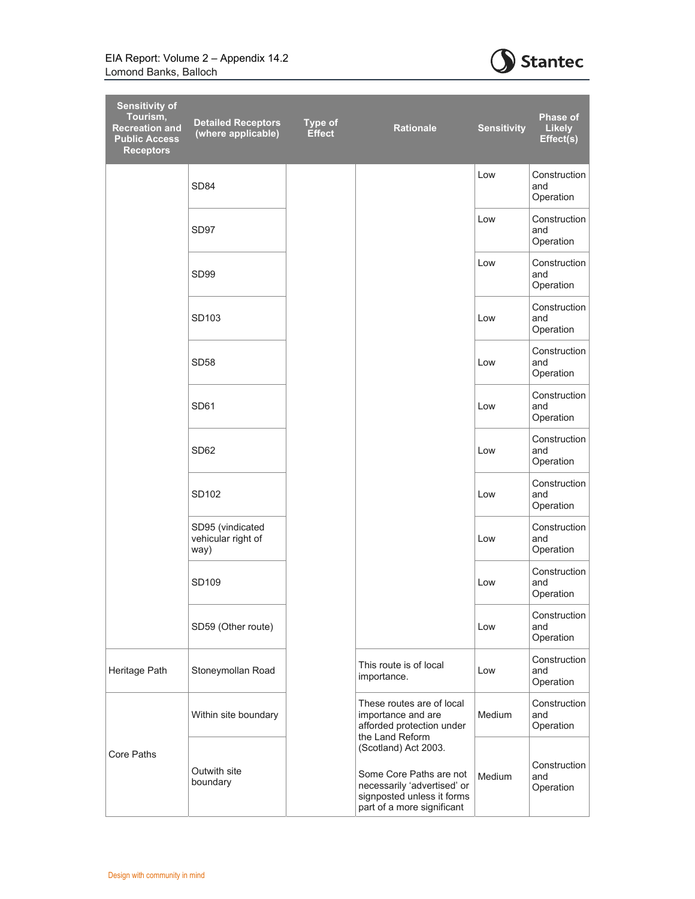

| <b>Sensitivity of</b><br>Tourism,<br><b>Recreation and</b><br><b>Public Access</b><br><b>Receptors</b> | <b>Detailed Receptors</b><br>(where applicable) | <b>Type of</b><br><b>Effect</b> | <b>Rationale</b>                                                                                                                                              | <b>Sensitivity</b> | <b>Phase of</b><br><b>Likely</b><br>Effect(s) |
|--------------------------------------------------------------------------------------------------------|-------------------------------------------------|---------------------------------|---------------------------------------------------------------------------------------------------------------------------------------------------------------|--------------------|-----------------------------------------------|
|                                                                                                        | SD <sub>84</sub>                                |                                 |                                                                                                                                                               | Low                | Construction<br>and<br>Operation              |
|                                                                                                        | SD <sub>97</sub>                                |                                 |                                                                                                                                                               | Low                | Construction<br>and<br>Operation              |
|                                                                                                        | SD <sub>99</sub>                                |                                 |                                                                                                                                                               | Low                | Construction<br>and<br>Operation              |
|                                                                                                        | SD103                                           |                                 |                                                                                                                                                               | Low                | Construction<br>and<br>Operation              |
|                                                                                                        | SD <sub>58</sub>                                |                                 |                                                                                                                                                               | Low                | Construction<br>and<br>Operation              |
|                                                                                                        | SD <sub>61</sub>                                |                                 |                                                                                                                                                               | Low                | Construction<br>and<br>Operation              |
|                                                                                                        | SD <sub>62</sub>                                |                                 |                                                                                                                                                               | Low                | Construction<br>and<br>Operation              |
|                                                                                                        | SD <sub>102</sub>                               |                                 |                                                                                                                                                               | Low                | Construction<br>and<br>Operation              |
|                                                                                                        | SD95 (vindicated<br>vehicular right of<br>way)  |                                 |                                                                                                                                                               | Low                | Construction<br>and<br>Operation              |
|                                                                                                        | SD109                                           |                                 |                                                                                                                                                               | Low                | Construction<br>and<br>Operation              |
|                                                                                                        | SD59 (Other route)                              |                                 |                                                                                                                                                               | Low                | Construction<br>and<br>Operation              |
| Heritage Path                                                                                          | Stoneymollan Road                               |                                 | This route is of local<br>importance.                                                                                                                         | Low                | Construction<br>and<br>Operation              |
|                                                                                                        | Within site boundary                            |                                 | These routes are of local<br>importance and are<br>afforded protection under                                                                                  | Medium             | Construction<br>and<br>Operation              |
| Core Paths                                                                                             | Outwith site<br>boundary                        |                                 | the Land Reform<br>(Scotland) Act 2003.<br>Some Core Paths are not<br>necessarily 'advertised' or<br>signposted unless it forms<br>part of a more significant | Medium             | Construction<br>and<br>Operation              |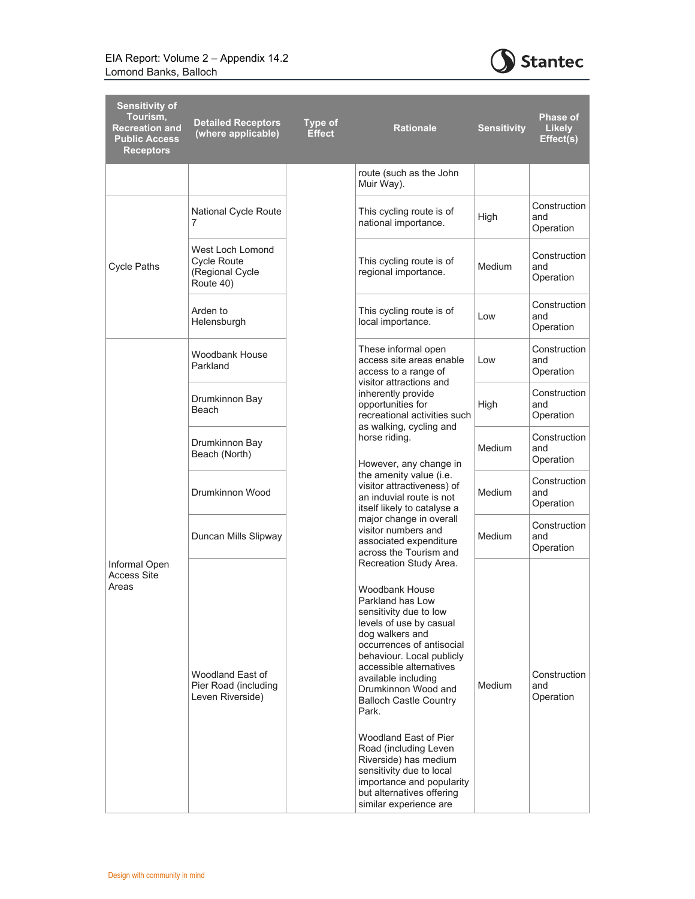

| <b>Sensitivity of</b><br>Tourism,<br><b>Recreation and</b><br><b>Public Access</b><br><b>Receptors</b> | <b>Detailed Receptors</b><br>(where applicable)                        | <b>Type of</b><br><b>Effect</b> | <b>Rationale</b>                                                                                                                                                                                                                                                                                                                                                                                                                                                                                                    | <b>Sensitivity</b> | <b>Phase of</b><br><b>Likely</b><br>Effect(s) |
|--------------------------------------------------------------------------------------------------------|------------------------------------------------------------------------|---------------------------------|---------------------------------------------------------------------------------------------------------------------------------------------------------------------------------------------------------------------------------------------------------------------------------------------------------------------------------------------------------------------------------------------------------------------------------------------------------------------------------------------------------------------|--------------------|-----------------------------------------------|
|                                                                                                        |                                                                        |                                 | route (such as the John<br>Muir Way).                                                                                                                                                                                                                                                                                                                                                                                                                                                                               |                    |                                               |
| <b>Cycle Paths</b>                                                                                     | National Cycle Route<br>7                                              |                                 | This cycling route is of<br>national importance.                                                                                                                                                                                                                                                                                                                                                                                                                                                                    | High               | Construction<br>and<br>Operation              |
|                                                                                                        | West Loch Lomond<br><b>Cycle Route</b><br>(Regional Cycle<br>Route 40) |                                 | This cycling route is of<br>regional importance.                                                                                                                                                                                                                                                                                                                                                                                                                                                                    | Medium             | Construction<br>and<br>Operation              |
|                                                                                                        | Arden to<br>Helensburgh                                                |                                 | This cycling route is of<br>local importance.                                                                                                                                                                                                                                                                                                                                                                                                                                                                       | Low                | Construction<br>and<br>Operation              |
|                                                                                                        | <b>Woodbank House</b><br>Parkland                                      |                                 | These informal open<br>access site areas enable<br>access to a range of<br>visitor attractions and<br>inherently provide<br>opportunities for<br>recreational activities such<br>as walking, cycling and<br>horse riding.<br>However, any change in<br>the amenity value (i.e.<br>visitor attractiveness) of<br>an induvial route is not<br>itself likely to catalyse a<br>major change in overall<br>visitor numbers and<br>associated expenditure<br>across the Tourism and                                       | Low                | Construction<br>and<br>Operation              |
|                                                                                                        | Drumkinnon Bay<br>Beach                                                |                                 |                                                                                                                                                                                                                                                                                                                                                                                                                                                                                                                     | High               | Construction<br>and<br>Operation              |
|                                                                                                        | Drumkinnon Bay<br>Beach (North)                                        |                                 |                                                                                                                                                                                                                                                                                                                                                                                                                                                                                                                     | Medium             | Construction<br>and<br>Operation              |
|                                                                                                        | Drumkinnon Wood                                                        |                                 |                                                                                                                                                                                                                                                                                                                                                                                                                                                                                                                     | Medium             | Construction<br>and<br>Operation              |
|                                                                                                        | Duncan Mills Slipway                                                   |                                 |                                                                                                                                                                                                                                                                                                                                                                                                                                                                                                                     | Medium             | Construction<br>and<br>Operation              |
| Informal Open<br><b>Access Site</b><br>Areas                                                           | Woodland East of<br>Pier Road (including<br>Leven Riverside)           |                                 | Recreation Study Area.<br><b>Woodbank House</b><br>Parkland has Low<br>sensitivity due to low<br>levels of use by casual<br>dog walkers and<br>occurrences of antisocial<br>behaviour. Local publicly<br>accessible alternatives<br>available including<br>Drumkinnon Wood and<br><b>Balloch Castle Country</b><br>Park.<br>Woodland East of Pier<br>Road (including Leven<br>Riverside) has medium<br>sensitivity due to local<br>importance and popularity<br>but alternatives offering<br>similar experience are | Medium             | Construction<br>and<br>Operation              |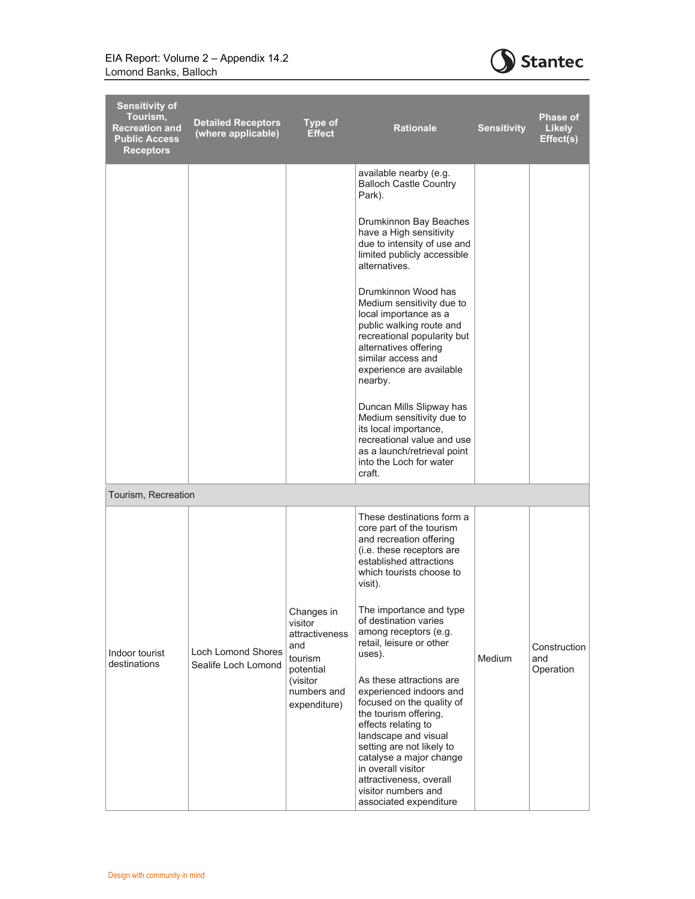

| <b>Sensitivity of</b><br>Tourism.<br><b>Recreation and</b><br><b>Public Access</b><br><b>Receptors</b> | <b>Detailed Receptors</b><br>(where applicable)  | <b>Type of</b><br><b>Effect</b>                                        | <b>Rationale</b>                                                                                                                                                                                                                                                                                                   | <b>Sensitivity</b> | Phase of<br>Likely<br>Effect(s)  |
|--------------------------------------------------------------------------------------------------------|--------------------------------------------------|------------------------------------------------------------------------|--------------------------------------------------------------------------------------------------------------------------------------------------------------------------------------------------------------------------------------------------------------------------------------------------------------------|--------------------|----------------------------------|
|                                                                                                        |                                                  |                                                                        | available nearby (e.g.<br><b>Balloch Castle Country</b><br>Park).                                                                                                                                                                                                                                                  |                    |                                  |
|                                                                                                        |                                                  |                                                                        | Drumkinnon Bay Beaches<br>have a High sensitivity<br>due to intensity of use and<br>limited publicly accessible<br>alternatives.                                                                                                                                                                                   |                    |                                  |
|                                                                                                        |                                                  |                                                                        | Drumkinnon Wood has<br>Medium sensitivity due to<br>local importance as a<br>public walking route and<br>recreational popularity but<br>alternatives offering<br>similar access and<br>experience are available<br>nearby.                                                                                         |                    |                                  |
|                                                                                                        |                                                  |                                                                        | Duncan Mills Slipway has<br>Medium sensitivity due to<br>its local importance,<br>recreational value and use<br>as a launch/retrieval point<br>into the Loch for water<br>craft.                                                                                                                                   |                    |                                  |
| Tourism, Recreation                                                                                    |                                                  |                                                                        |                                                                                                                                                                                                                                                                                                                    |                    |                                  |
|                                                                                                        |                                                  |                                                                        | These destinations form a<br>core part of the tourism<br>and recreation offering<br>(i.e. these receptors are<br>established attractions<br>which tourists choose to<br>visit).                                                                                                                                    |                    |                                  |
| Indoor tourist<br>destinations                                                                         | <b>Loch Lomond Shores</b><br>Sealife Loch Lomond | Changes in<br>visitor<br>attractiveness<br>and<br>tourism<br>potential | The importance and type<br>of destination varies<br>among receptors (e.g.<br>retail, leisure or other<br>uses).                                                                                                                                                                                                    | <b>Medium</b>      | Construction<br>and<br>Operation |
|                                                                                                        |                                                  | (visitor<br>numbers and<br>expenditure)                                | As these attractions are<br>experienced indoors and<br>focused on the quality of<br>the tourism offering,<br>effects relating to<br>landscape and visual<br>setting are not likely to<br>catalyse a major change<br>in overall visitor<br>attractiveness, overall<br>visitor numbers and<br>associated expenditure |                    |                                  |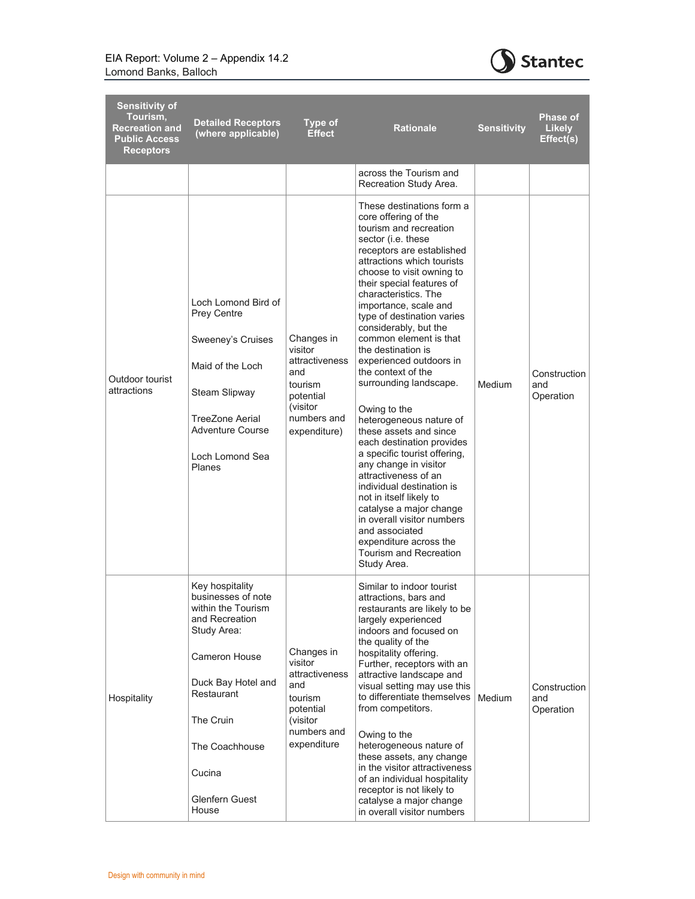

| <b>Sensitivity of</b><br>Tourism,<br><b>Recreation and</b><br><b>Public Access</b><br><b>Receptors</b> | <b>Detailed Receptors</b><br>(where applicable)                                                                                                                                                                       | <b>Type of</b><br><b>Effect</b>                                                                                   | <b>Rationale</b>                                                                                                                                                                                                                                                                                                                                                                                                                                                                                                                                                                                                                                                                                                                                                                                                                                   | <b>Sensitivity</b> | <b>Phase of</b><br><b>Likely</b><br>Effect(s) |
|--------------------------------------------------------------------------------------------------------|-----------------------------------------------------------------------------------------------------------------------------------------------------------------------------------------------------------------------|-------------------------------------------------------------------------------------------------------------------|----------------------------------------------------------------------------------------------------------------------------------------------------------------------------------------------------------------------------------------------------------------------------------------------------------------------------------------------------------------------------------------------------------------------------------------------------------------------------------------------------------------------------------------------------------------------------------------------------------------------------------------------------------------------------------------------------------------------------------------------------------------------------------------------------------------------------------------------------|--------------------|-----------------------------------------------|
|                                                                                                        |                                                                                                                                                                                                                       |                                                                                                                   | across the Tourism and<br>Recreation Study Area.                                                                                                                                                                                                                                                                                                                                                                                                                                                                                                                                                                                                                                                                                                                                                                                                   |                    |                                               |
| Outdoor tourist<br>attractions                                                                         | Loch Lomond Bird of<br><b>Prey Centre</b><br>Sweeney's Cruises<br>Maid of the Loch<br>Steam Slipway<br>TreeZone Aerial<br>Adventure Course<br>Loch Lomond Sea<br>Planes                                               | Changes in<br>visitor<br>attractiveness<br>and<br>tourism<br>potential<br>(visitor<br>numbers and<br>expenditure) | These destinations form a<br>core offering of the<br>tourism and recreation<br>sector (i.e. these<br>receptors are established<br>attractions which tourists<br>choose to visit owning to<br>their special features of<br>characteristics. The<br>importance, scale and<br>type of destination varies<br>considerably, but the<br>common element is that<br>the destination is<br>experienced outdoors in<br>the context of the<br>surrounding landscape.<br>Owing to the<br>heterogeneous nature of<br>these assets and since<br>each destination provides<br>a specific tourist offering,<br>any change in visitor<br>attractiveness of an<br>individual destination is<br>not in itself likely to<br>catalyse a major change<br>in overall visitor numbers<br>and associated<br>expenditure across the<br>Tourism and Recreation<br>Study Area. | Medium             | Construction<br>and<br>Operation              |
| Hospitality                                                                                            | Key hospitality<br>businesses of note<br>within the Tourism<br>and Recreation<br>Study Area:<br>Cameron House<br>Duck Bay Hotel and<br>Restaurant<br>The Cruin<br>The Coachhouse<br>Cucina<br>Glenfern Guest<br>House | Changes in<br>visitor<br>attractiveness<br>and<br>tourism<br>potential<br>(visitor<br>numbers and<br>expenditure  | Similar to indoor tourist<br>attractions, bars and<br>restaurants are likely to be<br>largely experienced<br>indoors and focused on<br>the quality of the<br>hospitality offering.<br>Further, receptors with an<br>attractive landscape and<br>visual setting may use this<br>to differentiate themselves<br>from competitors.<br>Owing to the<br>heterogeneous nature of<br>these assets, any change<br>in the visitor attractiveness<br>of an individual hospitality<br>receptor is not likely to<br>catalyse a major change<br>in overall visitor numbers                                                                                                                                                                                                                                                                                      | Medium             | Construction<br>and<br>Operation              |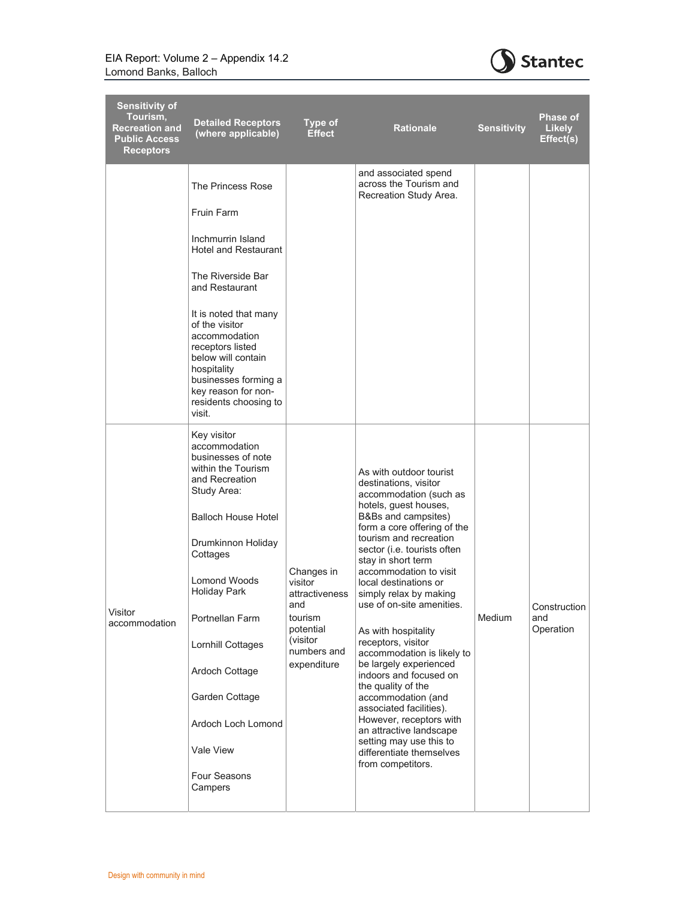

| <b>Sensitivity of</b><br>Tourism,<br><b>Recreation and</b><br><b>Public Access</b><br><b>Receptors</b> | <b>Detailed Receptors</b><br>(where applicable)                                                                                                                                                                                                                                                                                                                   | <b>Type of</b><br><b>Effect</b>                                                                                   | <b>Rationale</b>                                                                                                                                                                                                                                                                                                                                                                                                                                                                                                                                                                                                                                                                           | <b>Sensitivity</b> | Phase of<br><b>Likely</b><br>Effect(s) |
|--------------------------------------------------------------------------------------------------------|-------------------------------------------------------------------------------------------------------------------------------------------------------------------------------------------------------------------------------------------------------------------------------------------------------------------------------------------------------------------|-------------------------------------------------------------------------------------------------------------------|--------------------------------------------------------------------------------------------------------------------------------------------------------------------------------------------------------------------------------------------------------------------------------------------------------------------------------------------------------------------------------------------------------------------------------------------------------------------------------------------------------------------------------------------------------------------------------------------------------------------------------------------------------------------------------------------|--------------------|----------------------------------------|
|                                                                                                        | The Princess Rose<br><b>Fruin Farm</b><br>Inchmurrin Island<br><b>Hotel and Restaurant</b><br>The Riverside Bar<br>and Restaurant<br>It is noted that many<br>of the visitor<br>accommodation<br>receptors listed<br>below will contain<br>hospitality<br>businesses forming a<br>key reason for non-<br>residents choosing to<br>visit.                          |                                                                                                                   | and associated spend<br>across the Tourism and<br>Recreation Study Area.                                                                                                                                                                                                                                                                                                                                                                                                                                                                                                                                                                                                                   |                    |                                        |
| Visitor<br>accommodation                                                                               | Key visitor<br>accommodation<br>businesses of note<br>within the Tourism<br>and Recreation<br>Study Area:<br><b>Balloch House Hotel</b><br>Drumkinnon Holiday<br>Cottages<br><b>Lomond Woods</b><br><b>Holiday Park</b><br>Portnellan Farm<br>Lornhill Cottages<br>Ardoch Cottage<br>Garden Cottage<br>Ardoch Loch Lomond<br>Vale View<br>Four Seasons<br>Campers | Changes in<br>visitor<br>attractiveness<br>and<br>tourism<br>potential<br>(visitor)<br>numbers and<br>expenditure | As with outdoor tourist<br>destinations, visitor<br>accommodation (such as<br>hotels, guest houses,<br>B&Bs and campsites)<br>form a core offering of the<br>tourism and recreation<br>sector (i.e. tourists often<br>stay in short term<br>accommodation to visit<br>local destinations or<br>simply relax by making<br>use of on-site amenities.<br>As with hospitality<br>receptors, visitor<br>accommodation is likely to<br>be largely experienced<br>indoors and focused on<br>the quality of the<br>accommodation (and<br>associated facilities).<br>However, receptors with<br>an attractive landscape<br>setting may use this to<br>differentiate themselves<br>from competitors. | Medium             | Construction<br>and<br>Operation       |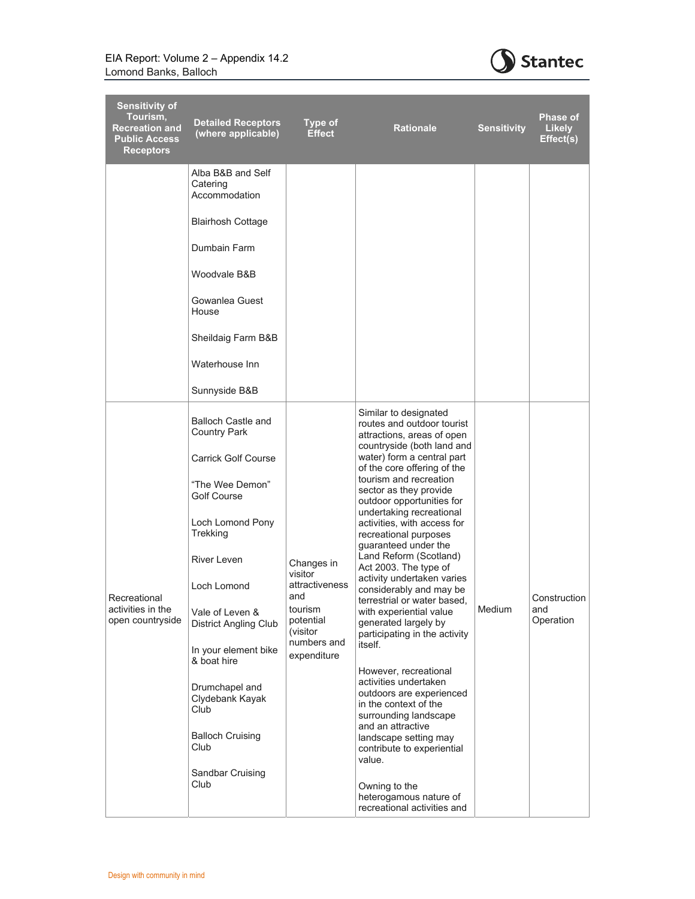

| <b>Sensitivity of</b><br>Tourism,<br><b>Recreation and</b><br><b>Public Access</b><br><b>Receptors</b> | <b>Detailed Receptors</b><br>(where applicable)  | <b>Type of</b><br><b>Effect</b>                | <b>Rationale</b>                                                                                                                                                                                                                                                                                            | <b>Sensitivity</b>                                                                                          | Phase of<br><b>Likely</b><br>Effect(s) |
|--------------------------------------------------------------------------------------------------------|--------------------------------------------------|------------------------------------------------|-------------------------------------------------------------------------------------------------------------------------------------------------------------------------------------------------------------------------------------------------------------------------------------------------------------|-------------------------------------------------------------------------------------------------------------|----------------------------------------|
|                                                                                                        | Alba B&B and Self<br>Catering<br>Accommodation   |                                                |                                                                                                                                                                                                                                                                                                             |                                                                                                             |                                        |
|                                                                                                        | <b>Blairhosh Cottage</b>                         |                                                |                                                                                                                                                                                                                                                                                                             |                                                                                                             |                                        |
|                                                                                                        | Dumbain Farm                                     |                                                |                                                                                                                                                                                                                                                                                                             |                                                                                                             |                                        |
|                                                                                                        | Woodvale B&B                                     |                                                |                                                                                                                                                                                                                                                                                                             |                                                                                                             |                                        |
|                                                                                                        | Gowanlea Guest<br>House                          |                                                |                                                                                                                                                                                                                                                                                                             |                                                                                                             |                                        |
|                                                                                                        | Sheildaig Farm B&B                               |                                                |                                                                                                                                                                                                                                                                                                             |                                                                                                             |                                        |
|                                                                                                        | Waterhouse Inn                                   |                                                |                                                                                                                                                                                                                                                                                                             |                                                                                                             |                                        |
|                                                                                                        | Sunnyside B&B                                    |                                                |                                                                                                                                                                                                                                                                                                             |                                                                                                             |                                        |
|                                                                                                        | <b>Balloch Castle and</b><br><b>Country Park</b> |                                                | Similar to designated<br>routes and outdoor tourist<br>attractions, areas of open<br>countryside (both land and                                                                                                                                                                                             |                                                                                                             |                                        |
|                                                                                                        | <b>Carrick Golf Course</b>                       |                                                | water) form a central part<br>of the core offering of the                                                                                                                                                                                                                                                   |                                                                                                             |                                        |
|                                                                                                        | "The Wee Demon"<br>Golf Course                   | Changes in<br>visitor<br>attractiveness<br>and | tourism and recreation<br>sector as they provide<br>outdoor opportunities for<br>undertaking recreational                                                                                                                                                                                                   |                                                                                                             |                                        |
|                                                                                                        | Loch Lomond Pony<br>Trekking                     |                                                | activities, with access for<br>recreational purposes<br>guaranteed under the<br>Land Reform (Scotland)<br>Act 2003. The type of<br>activity undertaken varies<br>considerably and may be<br>terrestrial or water based.<br>with experiential value<br>generated largely by<br>participating in the activity |                                                                                                             |                                        |
|                                                                                                        | <b>River Leven</b>                               |                                                |                                                                                                                                                                                                                                                                                                             |                                                                                                             |                                        |
| Recreational                                                                                           | Loch Lomond                                      |                                                |                                                                                                                                                                                                                                                                                                             |                                                                                                             | Construction                           |
| activities in the<br>open countryside                                                                  | Vale of Leven &<br><b>District Angling Club</b>  | tourism<br>potential<br>(visitor               |                                                                                                                                                                                                                                                                                                             | Medium                                                                                                      | and<br>Operation                       |
|                                                                                                        | In your element bike<br>& boat hire              | numbers and<br>expenditure                     | itself.<br>However, recreational                                                                                                                                                                                                                                                                            |                                                                                                             |                                        |
|                                                                                                        | Drumchapel and<br>Clydebank Kayak<br>Club        |                                                | activities undertaken<br>outdoors are experienced<br>in the context of the                                                                                                                                                                                                                                  |                                                                                                             |                                        |
|                                                                                                        | <b>Balloch Cruising</b><br>Club                  |                                                |                                                                                                                                                                                                                                                                                                             | surrounding landscape<br>and an attractive<br>landscape setting may<br>contribute to experiential<br>value. |                                        |
|                                                                                                        | Sandbar Cruising<br>Club                         |                                                | Owning to the                                                                                                                                                                                                                                                                                               |                                                                                                             |                                        |
|                                                                                                        |                                                  |                                                | heterogamous nature of<br>recreational activities and                                                                                                                                                                                                                                                       |                                                                                                             |                                        |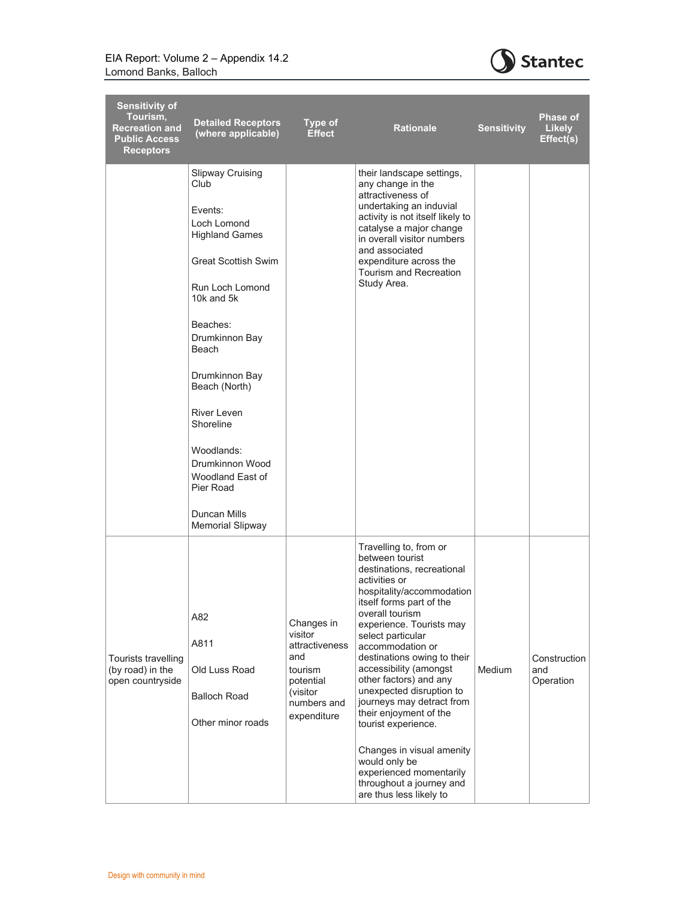

| <b>Sensitivity of</b><br>Tourism,<br><b>Recreation and</b><br><b>Public Access</b><br><b>Receptors</b> | <b>Detailed Receptors</b><br>(where applicable)                                                                                                                                                                                                                                                                                                                                  | <b>Type of</b><br><b>Effect</b>                                                                                  | <b>Rationale</b>                                                                                                                                                                                                                                                                                                                                                                                                                                                                                                                                                       | <b>Sensitivity</b> | <b>Phase of</b><br><b>Likely</b><br>Effect(s) |
|--------------------------------------------------------------------------------------------------------|----------------------------------------------------------------------------------------------------------------------------------------------------------------------------------------------------------------------------------------------------------------------------------------------------------------------------------------------------------------------------------|------------------------------------------------------------------------------------------------------------------|------------------------------------------------------------------------------------------------------------------------------------------------------------------------------------------------------------------------------------------------------------------------------------------------------------------------------------------------------------------------------------------------------------------------------------------------------------------------------------------------------------------------------------------------------------------------|--------------------|-----------------------------------------------|
|                                                                                                        | <b>Slipway Cruising</b><br>Club<br>Events:<br>Loch Lomond<br><b>Highland Games</b><br><b>Great Scottish Swim</b><br>Run Loch Lomond<br>10 $k$ and $5k$<br>Beaches:<br>Drumkinnon Bay<br><b>Beach</b><br>Drumkinnon Bay<br>Beach (North)<br><b>River Leven</b><br>Shoreline<br>Woodlands:<br>Drumkinnon Wood<br>Woodland East of<br>Pier Road<br>Duncan Mills<br>Memorial Slipway |                                                                                                                  | their landscape settings,<br>any change in the<br>attractiveness of<br>undertaking an induvial<br>activity is not itself likely to<br>catalyse a major change<br>in overall visitor numbers<br>and associated<br>expenditure across the<br>Tourism and Recreation<br>Study Area.                                                                                                                                                                                                                                                                                       |                    |                                               |
| Tourists travelling<br>(by road) in the<br>open countryside                                            | A82<br>A811<br>Old Luss Road<br><b>Balloch Road</b><br>Other minor roads                                                                                                                                                                                                                                                                                                         | Changes in<br>visitor<br>attractiveness<br>and<br>tourism<br>potential<br>(visitor<br>numbers and<br>expenditure | Travelling to, from or<br>between tourist<br>destinations, recreational<br>activities or<br>hospitality/accommodation<br>itself forms part of the<br>overall tourism<br>experience. Tourists may<br>select particular<br>accommodation or<br>destinations owing to their<br>accessibility (amongst<br>other factors) and any<br>unexpected disruption to<br>journeys may detract from<br>their enjoyment of the<br>tourist experience.<br>Changes in visual amenity<br>would only be<br>experienced momentarily<br>throughout a journey and<br>are thus less likely to | <b>Medium</b>      | Construction<br>and<br>Operation              |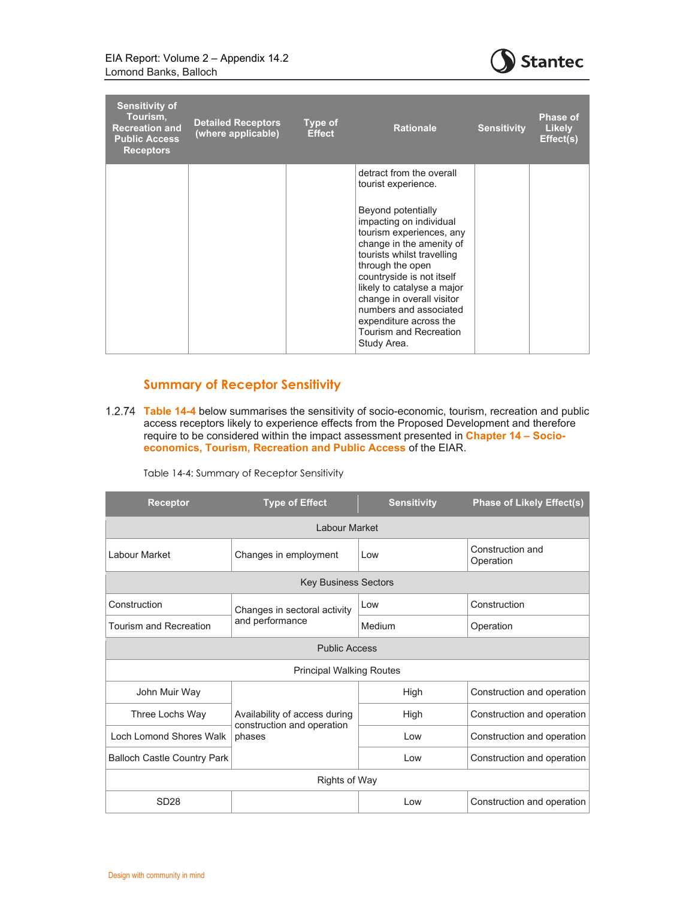

| <b>Sensitivity of</b><br>Tourism,<br><b>Recreation and</b><br><b>Public Access</b><br><b>Receptors</b> | <b>Detailed Receptors</b><br>(where applicable) | Type of<br><b>Effect</b> | <b>Rationale</b>                                                                                                                                                                                                                                                                                                                                                                                | <b>Sensitivity</b> | <b>Phase of</b><br><b>Likely</b><br>Effect(s) |
|--------------------------------------------------------------------------------------------------------|-------------------------------------------------|--------------------------|-------------------------------------------------------------------------------------------------------------------------------------------------------------------------------------------------------------------------------------------------------------------------------------------------------------------------------------------------------------------------------------------------|--------------------|-----------------------------------------------|
|                                                                                                        |                                                 |                          | detract from the overall<br>tourist experience.<br>Beyond potentially<br>impacting on individual<br>tourism experiences, any<br>change in the amenity of<br>tourists whilst travelling<br>through the open<br>countryside is not itself<br>likely to catalyse a major<br>change in overall visitor<br>numbers and associated<br>expenditure across the<br>Tourism and Recreation<br>Study Area. |                    |                                               |

### **Summary of Receptor Sensitivity**

**Table 14-4** below summarises the sensitivity of socio-economic, tourism, recreation and public access receptors likely to experience effects from the Proposed Development and therefore require to be considered within the impact assessment presented in **Chapter 14 – Socioeconomics, Tourism, Recreation and Public Access** of the EIAR.

Table 14-4: Summary of Receptor Sensitivity

| <b>Receptor</b>                    | <b>Type of Effect</b>                |        | <b>Phase of Likely Effect(s)</b> |  |  |  |
|------------------------------------|--------------------------------------|--------|----------------------------------|--|--|--|
| Labour Market                      |                                      |        |                                  |  |  |  |
| Labour Market                      | Changes in employment<br>Low         |        | Construction and<br>Operation    |  |  |  |
| <b>Key Business Sectors</b>        |                                      |        |                                  |  |  |  |
| Construction                       | Changes in sectoral activity         | Low    | Construction                     |  |  |  |
| <b>Tourism and Recreation</b>      | and performance                      | Medium | Operation                        |  |  |  |
| <b>Public Access</b>               |                                      |        |                                  |  |  |  |
| <b>Principal Walking Routes</b>    |                                      |        |                                  |  |  |  |
| John Muir Way                      |                                      | High   | Construction and operation       |  |  |  |
| Three Lochs Way                    | Availability of access during        | High   | Construction and operation       |  |  |  |
| Loch Lomond Shores Walk            | construction and operation<br>phases | l ow   | Construction and operation       |  |  |  |
| <b>Balloch Castle Country Park</b> |                                      | Low    | Construction and operation       |  |  |  |
| Rights of Way                      |                                      |        |                                  |  |  |  |
| SD <sub>28</sub>                   |                                      | Low    | Construction and operation       |  |  |  |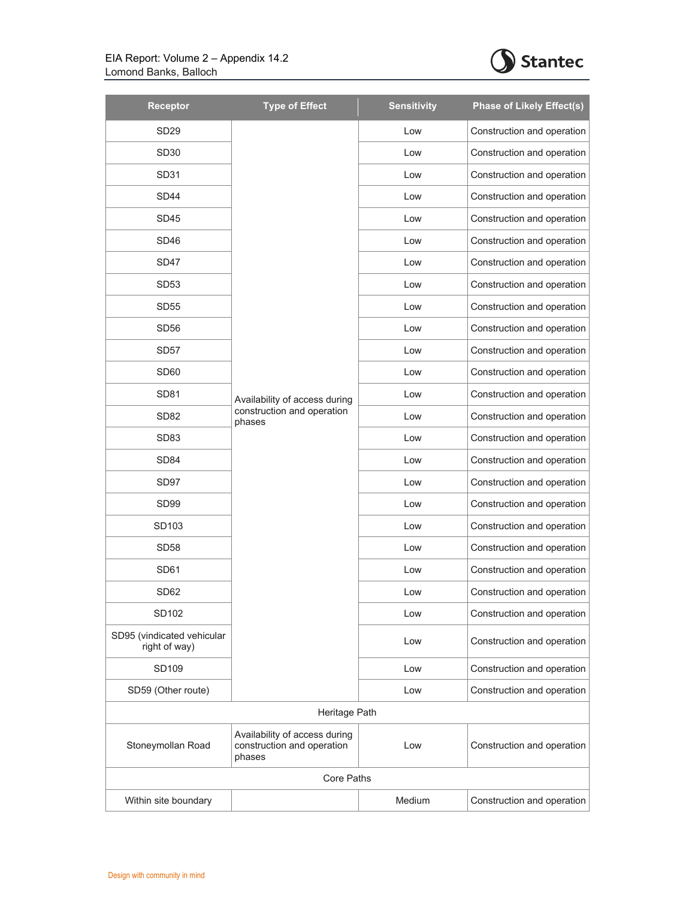

| Receptor                                    | <b>Type of Effect</b>                                                 | <b>Sensitivity</b> | <b>Phase of Likely Effect(s)</b> |  |  |
|---------------------------------------------|-----------------------------------------------------------------------|--------------------|----------------------------------|--|--|
| SD <sub>29</sub>                            |                                                                       | Low                | Construction and operation       |  |  |
| SD <sub>30</sub>                            |                                                                       | Low                | Construction and operation       |  |  |
| SD31                                        |                                                                       | Low                | Construction and operation       |  |  |
| SD <sub>44</sub>                            |                                                                       | Low                | Construction and operation       |  |  |
| SD <sub>45</sub>                            |                                                                       | Low                | Construction and operation       |  |  |
| SD <sub>46</sub>                            |                                                                       | Low                | Construction and operation       |  |  |
| SD47                                        |                                                                       | Low                | Construction and operation       |  |  |
| <b>SD53</b>                                 |                                                                       | Low                | Construction and operation       |  |  |
| <b>SD55</b>                                 |                                                                       | Low                | Construction and operation       |  |  |
| <b>SD56</b>                                 |                                                                       | Low                | Construction and operation       |  |  |
| SD <sub>57</sub>                            |                                                                       | Low                | Construction and operation       |  |  |
| SD <sub>60</sub>                            |                                                                       | Low                | Construction and operation       |  |  |
| SD <sub>81</sub>                            | Availability of access during                                         | Low                | Construction and operation       |  |  |
| <b>SD82</b>                                 | construction and operation<br>phases                                  | Low                | Construction and operation       |  |  |
| SD <sub>83</sub>                            |                                                                       | Low                | Construction and operation       |  |  |
| SD <sub>84</sub>                            |                                                                       | Low                | Construction and operation       |  |  |
| SD97                                        |                                                                       | Low                | Construction and operation       |  |  |
| SD <sub>99</sub>                            |                                                                       | Low                | Construction and operation       |  |  |
| SD103                                       |                                                                       | Low                | Construction and operation       |  |  |
| <b>SD58</b>                                 |                                                                       | Low                | Construction and operation       |  |  |
| <b>SD61</b>                                 |                                                                       | Low                | Construction and operation       |  |  |
| SD62                                        |                                                                       | Low                | Construction and operation       |  |  |
| SD102                                       |                                                                       | Low                | Construction and operation       |  |  |
| SD95 (vindicated vehicular<br>right of way) |                                                                       | Low                | Construction and operation       |  |  |
| SD109                                       |                                                                       | Low                | Construction and operation       |  |  |
| SD59 (Other route)                          |                                                                       | Low                | Construction and operation       |  |  |
|                                             | Heritage Path                                                         |                    |                                  |  |  |
| Stoneymollan Road                           | Availability of access during<br>construction and operation<br>phases | Low                | Construction and operation       |  |  |
|                                             | <b>Core Paths</b>                                                     |                    |                                  |  |  |
| Within site boundary                        |                                                                       | <b>Medium</b>      | Construction and operation       |  |  |